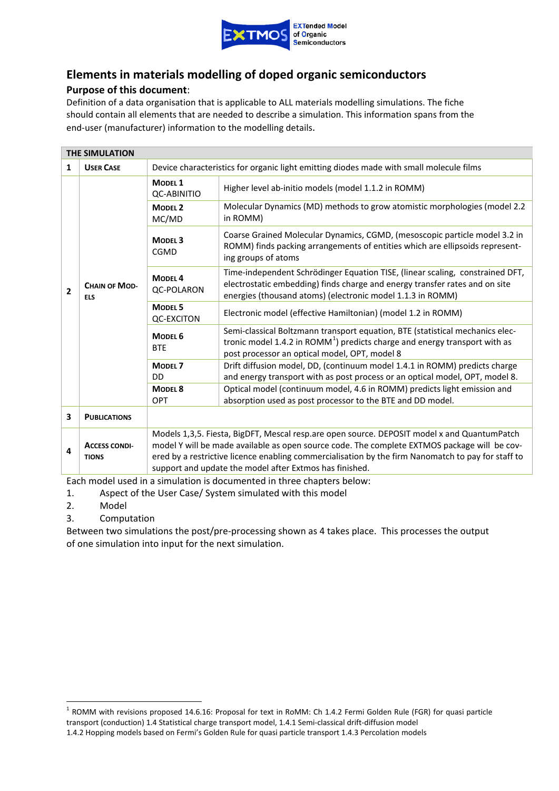

## **Elements in materials modelling of doped organic semiconductors**

## **Purpose of this document**:

Definition of a data organisation that is applicable to ALL materials modelling simulations. The fiche should contain all elements that are needed to describe a simulation. This information spans from the end-user (manufacturer) information to the modelling details.

|                         | <b>THE SIMULATION</b>                |                                          |                                                                                                                                                                                                                                                                                                                                                              |  |
|-------------------------|--------------------------------------|------------------------------------------|--------------------------------------------------------------------------------------------------------------------------------------------------------------------------------------------------------------------------------------------------------------------------------------------------------------------------------------------------------------|--|
| $\mathbf{1}$            | <b>USER CASE</b>                     |                                          | Device characteristics for organic light emitting diodes made with small molecule films                                                                                                                                                                                                                                                                      |  |
|                         |                                      | MODEL <sub>1</sub><br><b>QC-ABINITIO</b> | Higher level ab-initio models (model 1.1.2 in ROMM)                                                                                                                                                                                                                                                                                                          |  |
|                         |                                      | <b>MODEL 2</b><br>MC/MD                  | Molecular Dynamics (MD) methods to grow atomistic morphologies (model 2.2<br>in ROMM)                                                                                                                                                                                                                                                                        |  |
|                         |                                      | <b>MODEL 3</b><br><b>CGMD</b>            | Coarse Grained Molecular Dynamics, CGMD, (mesoscopic particle model 3.2 in<br>ROMM) finds packing arrangements of entities which are ellipsoids represent-<br>ing groups of atoms                                                                                                                                                                            |  |
| $\overline{2}$          | <b>CHAIN OF MOD-</b><br><b>ELS</b>   | MODEL <sub>4</sub><br><b>QC-POLARON</b>  | Time-independent Schrödinger Equation TISE, (linear scaling, constrained DFT,<br>electrostatic embedding) finds charge and energy transfer rates and on site<br>energies (thousand atoms) (electronic model 1.1.3 in ROMM)                                                                                                                                   |  |
|                         |                                      | MODEL <sub>5</sub><br><b>QC-EXCITON</b>  | Electronic model (effective Hamiltonian) (model 1.2 in ROMM)                                                                                                                                                                                                                                                                                                 |  |
|                         |                                      | MODEL <sub>6</sub><br><b>BTE</b>         | Semi-classical Boltzmann transport equation, BTE (statistical mechanics elec-<br>tronic model 1.4.2 in ROMM <sup>1</sup> ) predicts charge and energy transport with as<br>post processor an optical model, OPT, model 8                                                                                                                                     |  |
|                         |                                      | MODEL <sub>7</sub><br>DD                 | Drift diffusion model, DD, (continuum model 1.4.1 in ROMM) predicts charge<br>and energy transport with as post process or an optical model, OPT, model 8.                                                                                                                                                                                                   |  |
|                         |                                      | MODEL <sub>8</sub>                       | Optical model (continuum model, 4.6 in ROMM) predicts light emission and                                                                                                                                                                                                                                                                                     |  |
|                         |                                      | <b>OPT</b>                               | absorption used as post processor to the BTE and DD model.                                                                                                                                                                                                                                                                                                   |  |
| $\overline{\mathbf{3}}$ | <b>PUBLICATIONS</b>                  |                                          |                                                                                                                                                                                                                                                                                                                                                              |  |
| 4                       | <b>ACCESS CONDI-</b><br><b>TIONS</b> |                                          | Models 1,3,5. Fiesta, BigDFT, Mescal resp.are open source. DEPOSIT model x and QuantumPatch<br>model Y will be made available as open source code. The complete EXTMOS package will be cov-<br>ered by a restrictive licence enabling commercialisation by the firm Nanomatch to pay for staff to<br>support and update the model after Extmos has finished. |  |

Each model used in a simulation is documented in three chapters below:

- 1. Aspect of the User Case/ System simulated with this model
- 2. Model
- 3. Computation

Between two simulations the post/pre-processing shown as 4 takes place. This processes the output of one simulation into input for the next simulation.

<span id="page-0-0"></span><sup>&</sup>lt;sup>1</sup> ROMM with revisions proposed 14.6.16: Proposal for text in RoMM: Ch 1.4.2 Fermi Golden Rule (FGR) for quasi particle transport (conduction) 1.4 Statistical charge transport model, 1.4.1 Semi-classical drift-diffusion model

<sup>1.4.2</sup> Hopping models based on Fermi's Golden Rule for quasi particle transport 1.4.3 Percolation models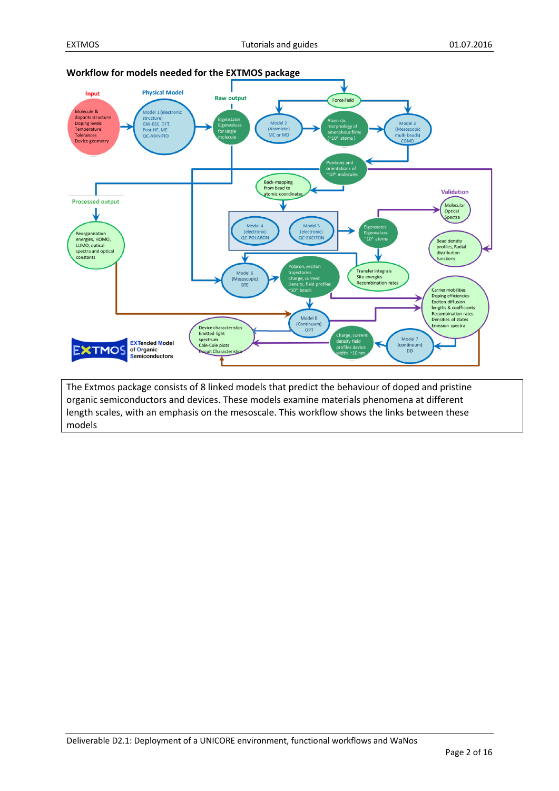**Workflow for models needed for the EXTMOS package**



organic semiconductors and devices. These models examine materials phenomena at different length scales, with an emphasis on the mesoscale. This workflow shows the links between these models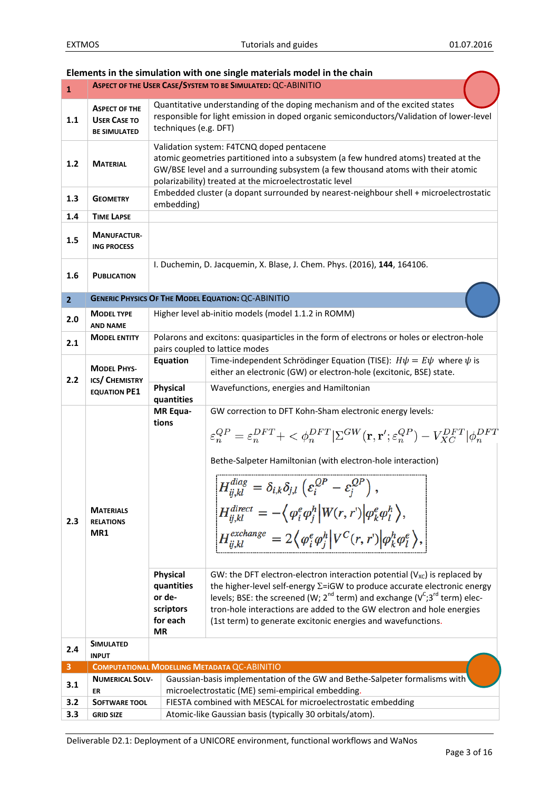|                | Elements in the simulation with one single materials model in the chain |                                                                                       |                                                                                                                                                                                                                                                                                                                                                                                                                                                                                                                                                                                                                                                                                                                                                                                                                                                                                                                                                                                                                                                       |  |
|----------------|-------------------------------------------------------------------------|---------------------------------------------------------------------------------------|-------------------------------------------------------------------------------------------------------------------------------------------------------------------------------------------------------------------------------------------------------------------------------------------------------------------------------------------------------------------------------------------------------------------------------------------------------------------------------------------------------------------------------------------------------------------------------------------------------------------------------------------------------------------------------------------------------------------------------------------------------------------------------------------------------------------------------------------------------------------------------------------------------------------------------------------------------------------------------------------------------------------------------------------------------|--|
| $\mathbf{1}$   |                                                                         |                                                                                       | ASPECT OF THE USER CASE/SYSTEM TO BE SIMULATED: QC-ABINITIO                                                                                                                                                                                                                                                                                                                                                                                                                                                                                                                                                                                                                                                                                                                                                                                                                                                                                                                                                                                           |  |
| 1.1            | <b>ASPECT OF THE</b><br><b>USER CASE TO</b><br><b>BE SIMULATED</b>      | techniques (e.g. DFT)                                                                 | Quantitative understanding of the doping mechanism and of the excited states<br>responsible for light emission in doped organic semiconductors/Validation of lower-level                                                                                                                                                                                                                                                                                                                                                                                                                                                                                                                                                                                                                                                                                                                                                                                                                                                                              |  |
| $1.2$          | <b>MATERIAL</b>                                                         |                                                                                       | Validation system: F4TCNQ doped pentacene<br>atomic geometries partitioned into a subsystem (a few hundred atoms) treated at the<br>GW/BSE level and a surrounding subsystem (a few thousand atoms with their atomic<br>polarizability) treated at the microelectrostatic level                                                                                                                                                                                                                                                                                                                                                                                                                                                                                                                                                                                                                                                                                                                                                                       |  |
| 1.3            | <b>GEOMETRY</b>                                                         | embedding)                                                                            | Embedded cluster (a dopant surrounded by nearest-neighbour shell + microelectrostatic                                                                                                                                                                                                                                                                                                                                                                                                                                                                                                                                                                                                                                                                                                                                                                                                                                                                                                                                                                 |  |
| 1.4            | <b>TIME LAPSE</b>                                                       |                                                                                       |                                                                                                                                                                                                                                                                                                                                                                                                                                                                                                                                                                                                                                                                                                                                                                                                                                                                                                                                                                                                                                                       |  |
| 1.5            | <b>MANUFACTUR-</b><br><b>ING PROCESS</b>                                |                                                                                       |                                                                                                                                                                                                                                                                                                                                                                                                                                                                                                                                                                                                                                                                                                                                                                                                                                                                                                                                                                                                                                                       |  |
| 1.6            | <b>PUBLICATION</b>                                                      |                                                                                       | I. Duchemin, D. Jacquemin, X. Blase, J. Chem. Phys. (2016), 144, 164106.                                                                                                                                                                                                                                                                                                                                                                                                                                                                                                                                                                                                                                                                                                                                                                                                                                                                                                                                                                              |  |
| 2 <sup>1</sup> |                                                                         |                                                                                       | <b>GENERIC PHYSICS OF THE MODEL EQUATION: QC-ABINITIO</b>                                                                                                                                                                                                                                                                                                                                                                                                                                                                                                                                                                                                                                                                                                                                                                                                                                                                                                                                                                                             |  |
| 2.0            | <b>MODEL TYPE</b><br><b>AND NAME</b>                                    |                                                                                       | Higher level ab-initio models (model 1.1.2 in ROMM)                                                                                                                                                                                                                                                                                                                                                                                                                                                                                                                                                                                                                                                                                                                                                                                                                                                                                                                                                                                                   |  |
| 2.1            | <b>MODEL ENTITY</b>                                                     |                                                                                       | Polarons and excitons: quasiparticles in the form of electrons or holes or electron-hole                                                                                                                                                                                                                                                                                                                                                                                                                                                                                                                                                                                                                                                                                                                                                                                                                                                                                                                                                              |  |
|                |                                                                         |                                                                                       | pairs coupled to lattice modes                                                                                                                                                                                                                                                                                                                                                                                                                                                                                                                                                                                                                                                                                                                                                                                                                                                                                                                                                                                                                        |  |
| 2.2            | <b>MODEL PHYS-</b><br>ICS/ CHEMISTRY                                    | Equation                                                                              | Time-independent Schrödinger Equation (TISE): $H\psi = E\psi$ where $\psi$ is<br>either an electronic (GW) or electron-hole (excitonic, BSE) state.                                                                                                                                                                                                                                                                                                                                                                                                                                                                                                                                                                                                                                                                                                                                                                                                                                                                                                   |  |
|                | <b>EQUATION PE1</b>                                                     | <b>Physical</b><br>quantities                                                         | Wavefunctions, energies and Hamiltonian                                                                                                                                                                                                                                                                                                                                                                                                                                                                                                                                                                                                                                                                                                                                                                                                                                                                                                                                                                                                               |  |
| 2.3            | <b>MATERIALS</b><br><b>RELATIONS</b><br>MR1                             | MR Equa-<br>tions<br><b>Physical</b><br>quantities<br>or de-<br>scriptors<br>for each | GW correction to DFT Kohn-Sham electronic energy levels:<br>$\varepsilon_n^{QP} = \varepsilon_n^{DFT} + \langle \phi_n^{DFT}   \Sigma^{GW}(\mathbf{r}, \mathbf{r}'; \varepsilon_n^{QP}) - V_{XC}^{DFT}   \phi_n^{DFT} \rangle$<br>Bethe-Salpeter Hamiltonian (with electron-hole interaction)<br>$H_{ij,kl}^{diag} = \delta_{i,k} \delta_{j,l} \left( \varepsilon_i^{QP} - \varepsilon_j^{QP} \right),$<br>$H_{ii,kl}^{direct} = -\langle \varphi_i^e \varphi_j^h   W(r,r')   \varphi_k^e \varphi_l^h \rangle,$<br>$H_{ii,kl}^{exchange} = 2 \langle \varphi_i^e \varphi_j^h   V^C(r,r)   \varphi_k^h \varphi_l^e \rangle,$<br>GW: the DFT electron-electron interaction potential ( $V_{\text{xc}}$ ) is replaced by<br>the higher-level self-energy $\Sigma$ =iGW to produce accurate electronic energy<br>levels; BSE: the screened (W; $2^{nd}$ term) and exchange ( $V^C$ ; 3 <sup>rd</sup> term) elec-<br>tron-hole interactions are added to the GW electron and hole energies<br>(1st term) to generate excitonic energies and wavefunctions. |  |
|                | <b>MR</b><br><b>SIMULATED</b>                                           |                                                                                       |                                                                                                                                                                                                                                                                                                                                                                                                                                                                                                                                                                                                                                                                                                                                                                                                                                                                                                                                                                                                                                                       |  |
| 2.4            | <b>INPUT</b>                                                            |                                                                                       |                                                                                                                                                                                                                                                                                                                                                                                                                                                                                                                                                                                                                                                                                                                                                                                                                                                                                                                                                                                                                                                       |  |
| 3              |                                                                         |                                                                                       | COMPUTATIONAL MODELLING METADATA QC-ABINITIO                                                                                                                                                                                                                                                                                                                                                                                                                                                                                                                                                                                                                                                                                                                                                                                                                                                                                                                                                                                                          |  |
| 3.1            | <b>NUMERICAL SOLV-</b><br>ER                                            |                                                                                       | Gaussian-basis implementation of the GW and Bethe-Salpeter formalisms with<br>microelectrostatic (ME) semi-empirical embedding.                                                                                                                                                                                                                                                                                                                                                                                                                                                                                                                                                                                                                                                                                                                                                                                                                                                                                                                       |  |
| 3.2            | SOFTWARE TOOL                                                           |                                                                                       | FIESTA combined with MESCAL for microelectrostatic embedding                                                                                                                                                                                                                                                                                                                                                                                                                                                                                                                                                                                                                                                                                                                                                                                                                                                                                                                                                                                          |  |
| 3.3            | <b>GRID SIZE</b>                                                        |                                                                                       | Atomic-like Gaussian basis (typically 30 orbitals/atom).                                                                                                                                                                                                                                                                                                                                                                                                                                                                                                                                                                                                                                                                                                                                                                                                                                                                                                                                                                                              |  |

## **Elements in the simulation with one single materials model in the chain**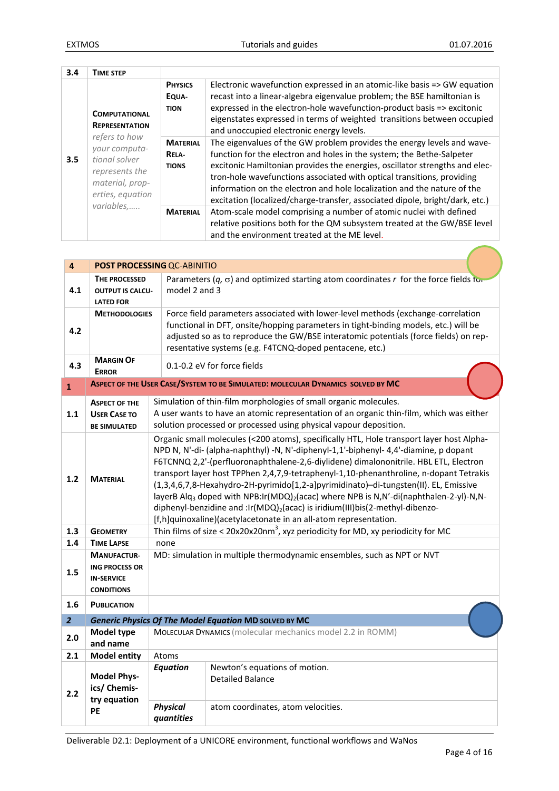| 3.4 | TIME STEP                                                                                                                                                 |                                          |                                                                                                                                                                                                                                                                                                                                                                                                                                                                     |
|-----|-----------------------------------------------------------------------------------------------------------------------------------------------------------|------------------------------------------|---------------------------------------------------------------------------------------------------------------------------------------------------------------------------------------------------------------------------------------------------------------------------------------------------------------------------------------------------------------------------------------------------------------------------------------------------------------------|
|     | <b>COMPUTATIONAL</b><br><b>REPRESENTATION</b><br>refers to how<br>vour computa-<br>tional solver<br>represents the<br>material, prop-<br>erties, equation | <b>PHYSICS</b><br>EQUA-<br><b>TION</b>   | Electronic wavefunction expressed in an atomic-like basis => GW equation<br>recast into a linear-algebra eigenvalue problem; the BSE hamiltonian is<br>expressed in the electron-hole wavefunction-product basis => excitonic<br>eigenstates expressed in terms of weighted transitions between occupied<br>and unoccupied electronic energy levels.                                                                                                                |
| 3.5 |                                                                                                                                                           | <b>MATERIAL</b><br>RELA-<br><b>TIONS</b> | The eigenvalues of the GW problem provides the energy levels and wave-<br>function for the electron and holes in the system; the Bethe-Salpeter<br>excitonic Hamiltonian provides the energies, oscillator strengths and elec-<br>tron-hole wavefunctions associated with optical transitions, providing<br>information on the electron and hole localization and the nature of the<br>excitation (localized/charge-transfer, associated dipole, bright/dark, etc.) |
|     | variables,                                                                                                                                                | <b>MATERIAL</b>                          | Atom-scale model comprising a number of atomic nuclei with defined<br>relative positions both for the QM subsystem treated at the GW/BSE level<br>and the environment treated at the ME level.                                                                                                                                                                                                                                                                      |

| $\overline{\mathbf{4}}$ |                                                                                                                                                                                                                                                                                                                                                                                                                                                                                                                                                                                                                                                                                           | POST PROCESSING QC-ABINITIO                                                                                                                                                                                                      |                                                                                                                                                                                                                                                                                                                            |  |
|-------------------------|-------------------------------------------------------------------------------------------------------------------------------------------------------------------------------------------------------------------------------------------------------------------------------------------------------------------------------------------------------------------------------------------------------------------------------------------------------------------------------------------------------------------------------------------------------------------------------------------------------------------------------------------------------------------------------------------|----------------------------------------------------------------------------------------------------------------------------------------------------------------------------------------------------------------------------------|----------------------------------------------------------------------------------------------------------------------------------------------------------------------------------------------------------------------------------------------------------------------------------------------------------------------------|--|
| 4.1                     | THE PROCESSED<br><b>OUTPUT IS CALCU-</b><br><b>LATED FOR</b>                                                                                                                                                                                                                                                                                                                                                                                                                                                                                                                                                                                                                              | model 2 and 3                                                                                                                                                                                                                    | Parameters $(q, \sigma)$ and optimized starting atom coordinates r for the force fields for                                                                                                                                                                                                                                |  |
| 4.2                     | <b>METHODOLOGIES</b>                                                                                                                                                                                                                                                                                                                                                                                                                                                                                                                                                                                                                                                                      |                                                                                                                                                                                                                                  | Force field parameters associated with lower-level methods (exchange-correlation<br>functional in DFT, onsite/hopping parameters in tight-binding models, etc.) will be<br>adjusted so as to reproduce the GW/BSE interatomic potentials (force fields) on rep-<br>resentative systems (e.g. F4TCNQ-doped pentacene, etc.) |  |
| 4.3                     | <b>MARGIN OF</b><br><b>ERROR</b>                                                                                                                                                                                                                                                                                                                                                                                                                                                                                                                                                                                                                                                          |                                                                                                                                                                                                                                  | 0.1-0.2 eV for force fields                                                                                                                                                                                                                                                                                                |  |
| $\mathbf{1}$            |                                                                                                                                                                                                                                                                                                                                                                                                                                                                                                                                                                                                                                                                                           |                                                                                                                                                                                                                                  | ASPECT OF THE USER CASE/SYSTEM TO BE SIMULATED: MOLECULAR DYNAMICS SOLVED BY MC                                                                                                                                                                                                                                            |  |
| 1.1                     | <b>ASPECT OF THE</b><br><b>USER CASE TO</b><br><b>BE SIMULATED</b>                                                                                                                                                                                                                                                                                                                                                                                                                                                                                                                                                                                                                        | Simulation of thin-film morphologies of small organic molecules.<br>A user wants to have an atomic representation of an organic thin-film, which was either<br>solution processed or processed using physical vapour deposition. |                                                                                                                                                                                                                                                                                                                            |  |
| 1.2                     | Organic small molecules (<200 atoms), specifically HTL, Hole transport layer host Alpha-<br>NPD N, N'-di- (alpha-naphthyl) -N, N'-diphenyl-1,1'-biphenyl-4,4'-diamine, p dopant<br>F6TCNNQ 2,2'-(perfluoronaphthalene-2,6-diylidene) dimalononitrile. HBL ETL, Electron<br>transport layer host TPPhen 2,4,7,9-tetraphenyl-1,10-phenanthroline, n-dopant Tetrakis<br><b>MATERIAL</b><br>(1,3,4,6,7,8-Hexahydro-2H-pyrimido[1,2-a]pyrimidinato)-di-tungsten(II). EL, Emissive<br>layerB Alq <sub>3</sub> doped with NPB:Ir(MDQ) <sub>2</sub> (acac) where NPB is N,N'-di(naphthalen-2-yl)-N,N-<br>diphenyl-benzidine and :Ir(MDQ) <sub>2</sub> (acac) is iridium(III)bis(2-methyl-dibenzo- |                                                                                                                                                                                                                                  | [f,h]quinoxaline)(acetylacetonate in an all-atom representation.                                                                                                                                                                                                                                                           |  |
| 1.3                     | <b>GEOMETRY</b>                                                                                                                                                                                                                                                                                                                                                                                                                                                                                                                                                                                                                                                                           |                                                                                                                                                                                                                                  | Thin films of size < $20x20x20nm^3$ , xyz periodicity for MD, xy periodicity for MC                                                                                                                                                                                                                                        |  |
| 1.4                     | <b>TIME LAPSE</b>                                                                                                                                                                                                                                                                                                                                                                                                                                                                                                                                                                                                                                                                         | none                                                                                                                                                                                                                             |                                                                                                                                                                                                                                                                                                                            |  |
| 1.5                     | <b>MANUFACTUR-</b><br><b>ING PROCESS OR</b><br><b>IN-SERVICE</b><br><b>CONDITIONS</b>                                                                                                                                                                                                                                                                                                                                                                                                                                                                                                                                                                                                     | MD: simulation in multiple thermodynamic ensembles, such as NPT or NVT                                                                                                                                                           |                                                                                                                                                                                                                                                                                                                            |  |
| 1.6                     | <b>PUBLICATION</b>                                                                                                                                                                                                                                                                                                                                                                                                                                                                                                                                                                                                                                                                        |                                                                                                                                                                                                                                  |                                                                                                                                                                                                                                                                                                                            |  |
| $\overline{2}$          |                                                                                                                                                                                                                                                                                                                                                                                                                                                                                                                                                                                                                                                                                           |                                                                                                                                                                                                                                  | Generic Physics Of The Model Equation MD SOLVED BY MC                                                                                                                                                                                                                                                                      |  |
| 2.0                     | Model type<br>and name                                                                                                                                                                                                                                                                                                                                                                                                                                                                                                                                                                                                                                                                    | <b>MOLECULAR DYNAMICS</b> (molecular mechanics model 2.2 in ROMM)                                                                                                                                                                |                                                                                                                                                                                                                                                                                                                            |  |
| 2.1                     | <b>Model entity</b>                                                                                                                                                                                                                                                                                                                                                                                                                                                                                                                                                                                                                                                                       | Atoms                                                                                                                                                                                                                            |                                                                                                                                                                                                                                                                                                                            |  |
| 2.2                     | <b>Model Phys-</b><br>ics/ Chemis-<br>try equation                                                                                                                                                                                                                                                                                                                                                                                                                                                                                                                                                                                                                                        | <b>Equation</b>                                                                                                                                                                                                                  | Newton's equations of motion.<br><b>Detailed Balance</b>                                                                                                                                                                                                                                                                   |  |
|                         | PE                                                                                                                                                                                                                                                                                                                                                                                                                                                                                                                                                                                                                                                                                        | <b>Physical</b><br>quantities                                                                                                                                                                                                    | atom coordinates, atom velocities.                                                                                                                                                                                                                                                                                         |  |

Deliverable D2.1: Deployment of a UNICORE environment, functional workflows and WaNos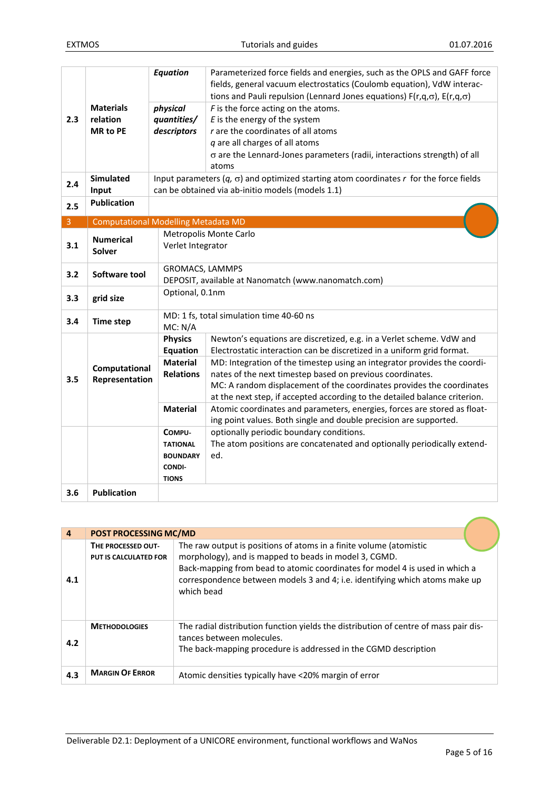|                |                                            | <b>Equation</b>                                                                               | Parameterized force fields and energies, such as the OPLS and GAFF force<br>fields, general vacuum electrostatics (Coulomb equation), VdW interac- |  |  |
|----------------|--------------------------------------------|-----------------------------------------------------------------------------------------------|----------------------------------------------------------------------------------------------------------------------------------------------------|--|--|
|                |                                            |                                                                                               | tions and Pauli repulsion (Lennard Jones equations) $F(r,q,\sigma)$ , $E(r,q,\sigma)$                                                              |  |  |
|                | <b>Materials</b>                           | physical                                                                                      | $F$ is the force acting on the atoms.                                                                                                              |  |  |
| 2.3            | relation                                   | quantities/                                                                                   | $E$ is the energy of the system                                                                                                                    |  |  |
|                | <b>MR</b> to PE                            | descriptors                                                                                   | r are the coordinates of all atoms                                                                                                                 |  |  |
|                |                                            |                                                                                               | q are all charges of all atoms                                                                                                                     |  |  |
|                |                                            |                                                                                               | $\sigma$ are the Lennard-Jones parameters (radii, interactions strength) of all                                                                    |  |  |
|                |                                            |                                                                                               | atoms                                                                                                                                              |  |  |
| 2.4            | Simulated                                  | Input parameters $(q, \sigma)$ and optimized starting atom coordinates r for the force fields |                                                                                                                                                    |  |  |
|                | Input                                      |                                                                                               | can be obtained via ab-initio models (models 1.1)                                                                                                  |  |  |
| 2.5            | <b>Publication</b>                         |                                                                                               |                                                                                                                                                    |  |  |
| $\overline{3}$ |                                            |                                                                                               |                                                                                                                                                    |  |  |
|                | <b>Computational Modelling Metadata MD</b> |                                                                                               | Metropolis Monte Carlo                                                                                                                             |  |  |
| 3.1            | <b>Numerical</b>                           | Verlet Integrator                                                                             |                                                                                                                                                    |  |  |
|                | Solver                                     |                                                                                               |                                                                                                                                                    |  |  |
|                |                                            | <b>GROMACS, LAMMPS</b>                                                                        |                                                                                                                                                    |  |  |
| 3.2            | Software tool                              |                                                                                               | DEPOSIT, available at Nanomatch (www.nanomatch.com)                                                                                                |  |  |
|                |                                            |                                                                                               | Optional, 0.1nm                                                                                                                                    |  |  |
| 3.3            | grid size                                  |                                                                                               |                                                                                                                                                    |  |  |
|                |                                            |                                                                                               | MD: 1 fs, total simulation time 40-60 ns                                                                                                           |  |  |
| 3.4            | <b>Time step</b>                           | MC: N/A                                                                                       |                                                                                                                                                    |  |  |
|                |                                            | <b>Physics</b>                                                                                | Newton's equations are discretized, e.g. in a Verlet scheme. VdW and                                                                               |  |  |
|                |                                            | <b>Equation</b>                                                                               | Electrostatic interaction can be discretized in a uniform grid format.                                                                             |  |  |
|                | Computational                              | <b>Material</b>                                                                               | MD: Integration of the timestep using an integrator provides the coordi-                                                                           |  |  |
| 3.5            | Representation                             | <b>Relations</b>                                                                              | nates of the next timestep based on previous coordinates.                                                                                          |  |  |
|                |                                            |                                                                                               | MC: A random displacement of the coordinates provides the coordinates                                                                              |  |  |
|                |                                            |                                                                                               | at the next step, if accepted according to the detailed balance criterion.                                                                         |  |  |
|                |                                            | <b>Material</b>                                                                               | Atomic coordinates and parameters, energies, forces are stored as float-                                                                           |  |  |
|                |                                            |                                                                                               | ing point values. Both single and double precision are supported.                                                                                  |  |  |
|                |                                            | COMPU-                                                                                        | optionally periodic boundary conditions.                                                                                                           |  |  |
|                |                                            | <b>TATIONAL</b>                                                                               | The atom positions are concatenated and optionally periodically extend-                                                                            |  |  |
|                |                                            | <b>BOUNDARY</b>                                                                               | ed.                                                                                                                                                |  |  |
|                |                                            | <b>CONDI-</b>                                                                                 |                                                                                                                                                    |  |  |
|                |                                            | <b>TIONS</b>                                                                                  |                                                                                                                                                    |  |  |
| 3.6            | <b>Publication</b>                         |                                                                                               |                                                                                                                                                    |  |  |

| $\overline{4}$ | <b>POST PROCESSING MC/MD</b>                |                                                                                                                                                                                                                                                                                                         |  |
|----------------|---------------------------------------------|---------------------------------------------------------------------------------------------------------------------------------------------------------------------------------------------------------------------------------------------------------------------------------------------------------|--|
| 4.1            | THE PROCESSED OUT-<br>PUT IS CALCULATED FOR | The raw output is positions of atoms in a finite volume (atomistic<br>morphology), and is mapped to beads in model 3, CGMD.<br>Back-mapping from bead to atomic coordinates for model 4 is used in which a<br>correspondence between models 3 and 4; i.e. identifying which atoms make up<br>which bead |  |
| 4.2            | <b>METHODOLOGIES</b>                        | The radial distribution function yields the distribution of centre of mass pair dis-<br>tances between molecules.<br>The back-mapping procedure is addressed in the CGMD description                                                                                                                    |  |
| 4.3            | <b>MARGIN OF ERROR</b>                      | Atomic densities typically have <20% margin of error                                                                                                                                                                                                                                                    |  |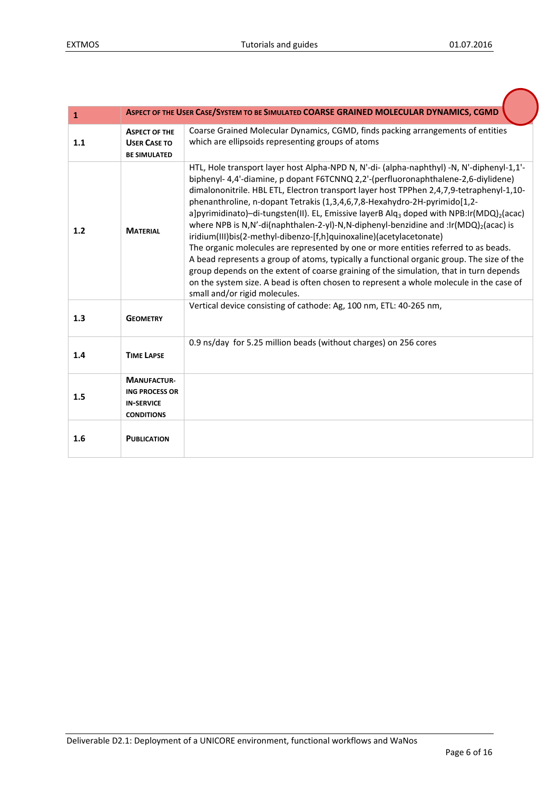| $\mathbf{1}$ |                                                                                       | ASPECT OF THE USER CASE/SYSTEM TO BE SIMULATED COARSE GRAINED MOLECULAR DYNAMICS, CGMD                                                                                                                                                                                                                                                                                                                                                                                                                                                                                                                                                                                                                                                                                                                                                                                                                                                                                                                                                                                                                                    |
|--------------|---------------------------------------------------------------------------------------|---------------------------------------------------------------------------------------------------------------------------------------------------------------------------------------------------------------------------------------------------------------------------------------------------------------------------------------------------------------------------------------------------------------------------------------------------------------------------------------------------------------------------------------------------------------------------------------------------------------------------------------------------------------------------------------------------------------------------------------------------------------------------------------------------------------------------------------------------------------------------------------------------------------------------------------------------------------------------------------------------------------------------------------------------------------------------------------------------------------------------|
| 1.1          | <b>ASPECT OF THE</b><br><b>USER CASE TO</b><br><b>BE SIMULATED</b>                    | Coarse Grained Molecular Dynamics, CGMD, finds packing arrangements of entities<br>which are ellipsoids representing groups of atoms                                                                                                                                                                                                                                                                                                                                                                                                                                                                                                                                                                                                                                                                                                                                                                                                                                                                                                                                                                                      |
| 1.2<br>1.3   | <b>MATERIAL</b><br><b>GEOMETRY</b>                                                    | HTL, Hole transport layer host Alpha-NPD N, N'-di- (alpha-naphthyl) -N, N'-diphenyl-1,1'-<br>biphenyl-4,4'-diamine, p dopant F6TCNNQ 2,2'-(perfluoronaphthalene-2,6-diylidene)<br>dimalononitrile. HBL ETL, Electron transport layer host TPPhen 2,4,7,9-tetraphenyl-1,10-<br>phenanthroline, n-dopant Tetrakis (1,3,4,6,7,8-Hexahydro-2H-pyrimido[1,2-<br>a]pyrimidinato)-di-tungsten(II). EL, Emissive layerB Alq <sub>3</sub> doped with NPB:Ir(MDQ) <sub>2</sub> (acac)<br>where NPB is N,N'-di(naphthalen-2-yl)-N,N-diphenyl-benzidine and :lr(MDQ)2(acac) is<br>iridium(III)bis(2-methyl-dibenzo-[f,h]quinoxaline)(acetylacetonate)<br>The organic molecules are represented by one or more entities referred to as beads.<br>A bead represents a group of atoms, typically a functional organic group. The size of the<br>group depends on the extent of coarse graining of the simulation, that in turn depends<br>on the system size. A bead is often chosen to represent a whole molecule in the case of<br>small and/or rigid molecules.<br>Vertical device consisting of cathode: Ag, 100 nm, ETL: 40-265 nm, |
|              |                                                                                       |                                                                                                                                                                                                                                                                                                                                                                                                                                                                                                                                                                                                                                                                                                                                                                                                                                                                                                                                                                                                                                                                                                                           |
| 1.4          | <b>TIME LAPSE</b>                                                                     | 0.9 ns/day for 5.25 million beads (without charges) on 256 cores                                                                                                                                                                                                                                                                                                                                                                                                                                                                                                                                                                                                                                                                                                                                                                                                                                                                                                                                                                                                                                                          |
| 1.5          | <b>MANUFACTUR-</b><br><b>ING PROCESS OR</b><br><b>IN-SERVICE</b><br><b>CONDITIONS</b> |                                                                                                                                                                                                                                                                                                                                                                                                                                                                                                                                                                                                                                                                                                                                                                                                                                                                                                                                                                                                                                                                                                                           |
| 1.6          | <b>PUBLICATION</b>                                                                    |                                                                                                                                                                                                                                                                                                                                                                                                                                                                                                                                                                                                                                                                                                                                                                                                                                                                                                                                                                                                                                                                                                                           |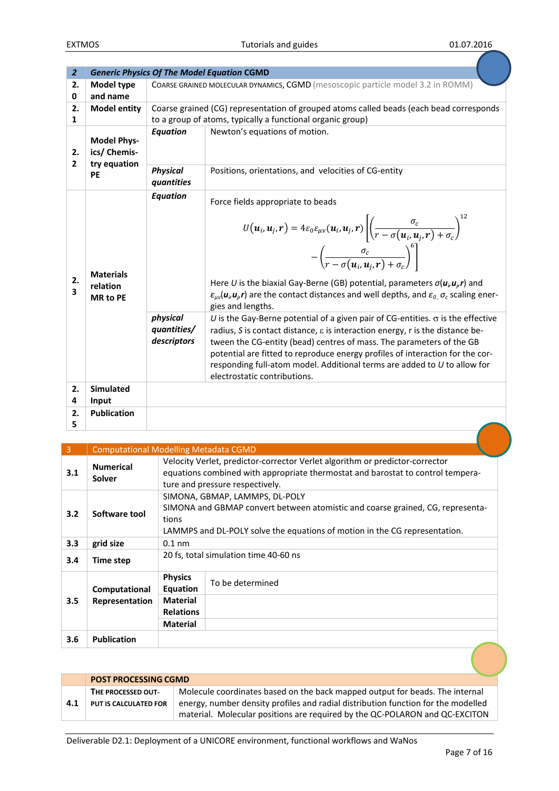| $\overline{2}$       |                                                 |                                        | <b>Generic Physics Of The Model Equation CGMD</b>                                                                                                                                                                                                                                                                                                                                                                                                                                                                                                                                                                                                                                                                 |
|----------------------|-------------------------------------------------|----------------------------------------|-------------------------------------------------------------------------------------------------------------------------------------------------------------------------------------------------------------------------------------------------------------------------------------------------------------------------------------------------------------------------------------------------------------------------------------------------------------------------------------------------------------------------------------------------------------------------------------------------------------------------------------------------------------------------------------------------------------------|
| 2.<br>0              | Model type<br>and name                          |                                        | COARSE GRAINED MOLECULAR DYNAMICS, CGMD (mesoscopic particle model 3.2 in ROMM)                                                                                                                                                                                                                                                                                                                                                                                                                                                                                                                                                                                                                                   |
| 2.<br>1              | <b>Model entity</b>                             |                                        | Coarse grained (CG) representation of grouped atoms called beads (each bead corresponds<br>to a group of atoms, typically a functional organic group)                                                                                                                                                                                                                                                                                                                                                                                                                                                                                                                                                             |
| 2.<br>$\overline{2}$ | <b>Model Phys-</b><br>ics/ Chemis-              | <b>Equation</b>                        | Newton's equations of motion.                                                                                                                                                                                                                                                                                                                                                                                                                                                                                                                                                                                                                                                                                     |
|                      | try equation<br><b>PE</b>                       | <b>Physical</b><br>quantities          | Positions, orientations, and velocities of CG-entity                                                                                                                                                                                                                                                                                                                                                                                                                                                                                                                                                                                                                                                              |
| 2.<br>3              | <b>Materials</b><br>relation<br><b>MR</b> to PE | <b>Equation</b>                        | Force fields appropriate to beads<br>$U(\boldsymbol{u}_i, \boldsymbol{u}_j, \boldsymbol{r}) = 4\varepsilon_0 \varepsilon_{\mu\nu}(\boldsymbol{u}_i, \boldsymbol{u}_j, \boldsymbol{r}) \left[ \left( \frac{\sigma_c}{r - \sigma(\boldsymbol{u}_i, \boldsymbol{u}_j, \boldsymbol{r}) + \sigma_c} \right)^{12} - \left( \frac{\sigma_c}{r - \sigma(\boldsymbol{u}_i, \boldsymbol{u}_j, \boldsymbol{r}) + \sigma_c} \right)^6 \right]$<br>Here U is the biaxial Gay-Berne (GB) potential, parameters $\sigma(u_i u_j r)$ and<br>$\varepsilon_{\mu\nu}(\mathbf{u}_{\mu}\mathbf{u}_{\mu}\mathbf{r})$ are the contact distances and well depths, and $\varepsilon_{0}$ , $\sigma_{c}$ scaling ener-<br>gies and lengths. |
|                      |                                                 | physical<br>quantities/<br>descriptors | U is the Gay-Berne potential of a given pair of CG-entities. $\sigma$ is the effective<br>radius, S is contact distance, $\varepsilon$ is interaction energy, r is the distance be-<br>tween the CG-entity (bead) centres of mass. The parameters of the GB<br>potential are fitted to reproduce energy profiles of interaction for the cor-<br>responding full-atom model. Additional terms are added to U to allow for<br>electrostatic contributions.                                                                                                                                                                                                                                                          |
| 2.<br>4              | <b>Simulated</b><br>Input                       |                                        |                                                                                                                                                                                                                                                                                                                                                                                                                                                                                                                                                                                                                                                                                                                   |
| 2.<br>5              | <b>Publication</b>                              |                                        |                                                                                                                                                                                                                                                                                                                                                                                                                                                                                                                                                                                                                                                                                                                   |

| 3   | <b>Computational Modelling Metadata CGMD</b> |                                                                                                                                                                                                         |                                                                                                                                                                                                    |
|-----|----------------------------------------------|---------------------------------------------------------------------------------------------------------------------------------------------------------------------------------------------------------|----------------------------------------------------------------------------------------------------------------------------------------------------------------------------------------------------|
| 3.1 | <b>Numerical</b><br><b>Solver</b>            |                                                                                                                                                                                                         | Velocity Verlet, predictor-corrector Verlet algorithm or predictor-corrector<br>equations combined with appropriate thermostat and barostat to control tempera-<br>ture and pressure respectively. |
| 3.2 | Software tool                                | SIMONA, GBMAP, LAMMPS, DL-POLY<br>SIMONA and GBMAP convert between atomistic and coarse grained, CG, representa-<br>tions<br>LAMMPS and DL-POLY solve the equations of motion in the CG representation. |                                                                                                                                                                                                    |
| 3.3 | grid size                                    | $0.1$ nm                                                                                                                                                                                                |                                                                                                                                                                                                    |
| 3.4 | Time step                                    |                                                                                                                                                                                                         | 20 fs, total simulation time 40-60 ns                                                                                                                                                              |
|     | Computational                                | <b>Physics</b><br>Equation                                                                                                                                                                              | To be determined                                                                                                                                                                                   |
| 3.5 | Representation                               | <b>Material</b><br><b>Relations</b>                                                                                                                                                                     |                                                                                                                                                                                                    |
|     |                                              | <b>Material</b>                                                                                                                                                                                         |                                                                                                                                                                                                    |
| 3.6 | <b>Publication</b>                           |                                                                                                                                                                                                         |                                                                                                                                                                                                    |

|     | <b>POST PROCESSING CGMD</b> |                                                                                                                                                                  |  |
|-----|-----------------------------|------------------------------------------------------------------------------------------------------------------------------------------------------------------|--|
|     | THE PROCESSED OUT-          | Molecule coordinates based on the back mapped output for beads. The internal                                                                                     |  |
| 4.1 | PUT IS CALCULATED FOR       | energy, number density profiles and radial distribution function for the modelled<br>material. Molecular positions are required by the QC-POLARON and QC-EXCITON |  |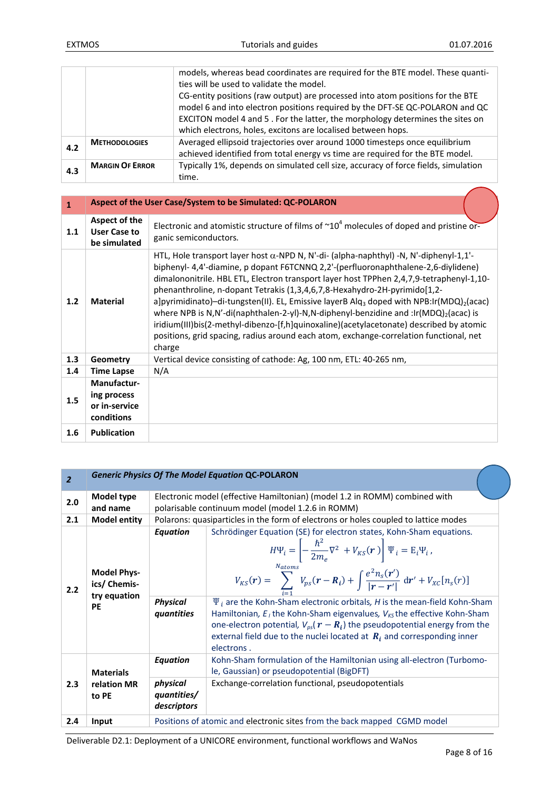|     |                        | models, whereas bead coordinates are required for the BTE model. These quanti-<br>ties will be used to validate the model.                                                                                                                                                                                      |
|-----|------------------------|-----------------------------------------------------------------------------------------------------------------------------------------------------------------------------------------------------------------------------------------------------------------------------------------------------------------|
|     |                        | CG-entity positions (raw output) are processed into atom positions for the BTE<br>model 6 and into electron positions required by the DFT-SE QC-POLARON and QC<br>EXCITON model 4 and 5. For the latter, the morphology determines the sites on<br>which electrons, holes, excitons are localised between hops. |
| 4.2 | <b>METHODOLOGIES</b>   | Averaged ellipsoid trajectories over around 1000 timesteps once equilibrium<br>achieved identified from total energy vs time are required for the BTE model.                                                                                                                                                    |
| 4.3 | <b>MARGIN OF ERROR</b> | Typically 1%, depends on simulated cell size, accuracy of force fields, simulation<br>time.                                                                                                                                                                                                                     |

| $\mathbf{1}$ |                                                                  | Aspect of the User Case/System to be Simulated: QC-POLARON                                                                                                                                                                                                                                                                                                                                                                                                                                                                                                                                                                                                                                                                                                                          |  |  |
|--------------|------------------------------------------------------------------|-------------------------------------------------------------------------------------------------------------------------------------------------------------------------------------------------------------------------------------------------------------------------------------------------------------------------------------------------------------------------------------------------------------------------------------------------------------------------------------------------------------------------------------------------------------------------------------------------------------------------------------------------------------------------------------------------------------------------------------------------------------------------------------|--|--|
| 1.1          | Aspect of the<br><b>User Case to</b><br>be simulated             | Electronic and atomistic structure of films of $\sim 10^4$ molecules of doped and pristine or-<br>ganic semiconductors.                                                                                                                                                                                                                                                                                                                                                                                                                                                                                                                                                                                                                                                             |  |  |
| 1.2          | <b>Material</b>                                                  | HTL, Hole transport layer host $\alpha$ -NPD N, N'-di- (alpha-naphthyl) -N, N'-diphenyl-1,1'-<br>biphenyl- 4,4'-diamine, p dopant F6TCNNQ 2,2'-(perfluoronaphthalene-2,6-diylidene)<br>dimalononitrile. HBL ETL, Electron transport layer host TPPhen 2,4,7,9-tetraphenyl-1,10-<br>phenanthroline, n-dopant Tetrakis (1,3,4,6,7,8-Hexahydro-2H-pyrimido[1,2-<br>a]pyrimidinato)-di-tungsten(II). EL, Emissive layerB Alq <sub>3</sub> doped with NPB:Ir(MDQ) <sub>2</sub> (acac)<br>where NPB is N,N'-di(naphthalen-2-yl)-N,N-diphenyl-benzidine and :lr(MDQ) <sub>2</sub> (acac) is<br>iridium(III)bis(2-methyl-dibenzo-[f,h]quinoxaline)(acetylacetonate) described by atomic<br>positions, grid spacing, radius around each atom, exchange-correlation functional, net<br>charge |  |  |
| 1.3          | Geometry                                                         | Vertical device consisting of cathode: Ag, 100 nm, ETL: 40-265 nm,                                                                                                                                                                                                                                                                                                                                                                                                                                                                                                                                                                                                                                                                                                                  |  |  |
| 1.4          | <b>Time Lapse</b>                                                | N/A                                                                                                                                                                                                                                                                                                                                                                                                                                                                                                                                                                                                                                                                                                                                                                                 |  |  |
| 1.5          | <b>Manufactur-</b><br>ing process<br>or in-service<br>conditions |                                                                                                                                                                                                                                                                                                                                                                                                                                                                                                                                                                                                                                                                                                                                                                                     |  |  |
| 1.6          | <b>Publication</b>                                               |                                                                                                                                                                                                                                                                                                                                                                                                                                                                                                                                                                                                                                                                                                                                                                                     |  |  |

| $\overline{2}$ |                                                                 |                                                  | <b>Generic Physics Of The Model Equation QC-POLARON</b>                                                                                                                                                                                                                                                                                                                                                                                                                                                                                                                                                                                                                                                                                           |  |
|----------------|-----------------------------------------------------------------|--------------------------------------------------|---------------------------------------------------------------------------------------------------------------------------------------------------------------------------------------------------------------------------------------------------------------------------------------------------------------------------------------------------------------------------------------------------------------------------------------------------------------------------------------------------------------------------------------------------------------------------------------------------------------------------------------------------------------------------------------------------------------------------------------------------|--|
| 2.0            | Model type<br>and name                                          |                                                  | Electronic model (effective Hamiltonian) (model 1.2 in ROMM) combined with<br>polarisable continuum model (model 1.2.6 in ROMM)                                                                                                                                                                                                                                                                                                                                                                                                                                                                                                                                                                                                                   |  |
| 2.1            | <b>Model entity</b>                                             |                                                  | Polarons: quasiparticles in the form of electrons or holes coupled to lattice modes                                                                                                                                                                                                                                                                                                                                                                                                                                                                                                                                                                                                                                                               |  |
| 2.2            | <b>Model Phys-</b><br>ics/ Chemis-<br>try equation<br><b>PE</b> | <b>Equation</b><br><b>Physical</b><br>quantities | Schrödinger Equation (SE) for electron states, Kohn-Sham equations.<br>$H\Psi_i = \left  -\frac{\hbar^2}{2m_e} \nabla^2 + V_{KS}(\mathbf{r}) \right  \Psi_i = E_i \Psi_i,$<br>$N_{atoms}$<br>$V_{KS}(\mathbf{r}) = \sum_{i=1}^{N} V_{ps}(\mathbf{r} - \mathbf{R}_i) + \int \frac{e^2 n_s(\mathbf{r}')}{ \mathbf{r} - \mathbf{r}' } d\mathbf{r}' + V_{XC}[n_s(\mathbf{r})]$<br>$\Psi_i$ are the Kohn-Sham electronic orbitals, H is the mean-field Kohn-Sham<br>Hamiltonian, $E_i$ the Kohn-Sham eigenvalues, $V_{KS}$ the effective Kohn-Sham<br>one-electron potential, $V_{ps}(\boldsymbol{r}-\boldsymbol{R}_i)$ the pseudopotential energy from the<br>external field due to the nuclei located at $R_i$ and corresponding inner<br>electrons. |  |
| 2.3            | <b>Materials</b>                                                | <b>Equation</b>                                  | Kohn-Sham formulation of the Hamiltonian using all-electron (Turbomo-<br>le, Gaussian) or pseudopotential (BigDFT)                                                                                                                                                                                                                                                                                                                                                                                                                                                                                                                                                                                                                                |  |
|                | relation MR<br>to PE                                            | physical<br>quantities/<br>descriptors           | Exchange-correlation functional, pseudopotentials                                                                                                                                                                                                                                                                                                                                                                                                                                                                                                                                                                                                                                                                                                 |  |
| 2.4            | Input                                                           |                                                  | Positions of atomic and electronic sites from the back mapped CGMD model                                                                                                                                                                                                                                                                                                                                                                                                                                                                                                                                                                                                                                                                          |  |

Deliverable D2.1: Deployment of a UNICORE environment, functional workflows and WaNos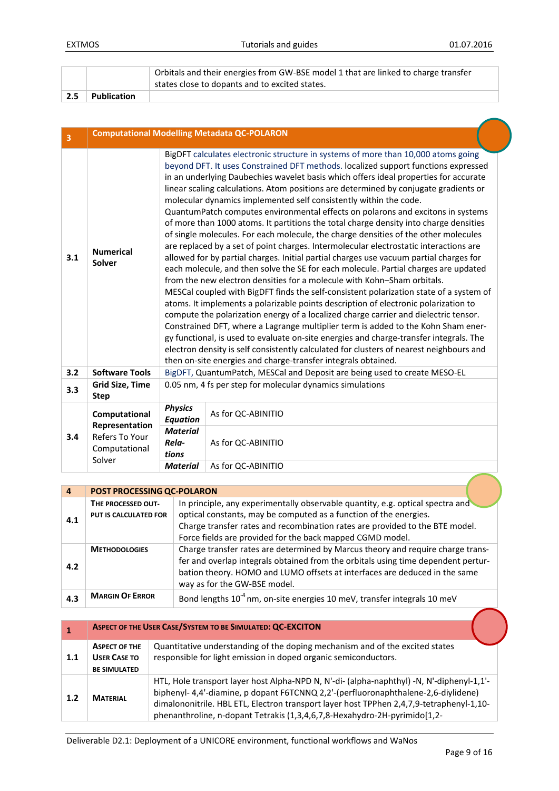|     |             | Orbitals and their energies from GW-BSE model 1 that are linked to charge transfer |
|-----|-------------|------------------------------------------------------------------------------------|
|     |             | states close to dopants and to excited states.                                     |
| 2.5 | Publication |                                                                                    |

| $\overline{\mathbf{3}}$ | <b>Computational Modelling Metadata QC-POLARON</b> |                                                               |                                                                                                                                                                                                                                                                                                                                                                                                                                                                                                                                                                                                                                                                                                                                                                                                                                                                                                                                                                                                                                                                                                                                                                                                                                                                                                                                                                                                                                                                                                                                                                                                         |  |
|-------------------------|----------------------------------------------------|---------------------------------------------------------------|---------------------------------------------------------------------------------------------------------------------------------------------------------------------------------------------------------------------------------------------------------------------------------------------------------------------------------------------------------------------------------------------------------------------------------------------------------------------------------------------------------------------------------------------------------------------------------------------------------------------------------------------------------------------------------------------------------------------------------------------------------------------------------------------------------------------------------------------------------------------------------------------------------------------------------------------------------------------------------------------------------------------------------------------------------------------------------------------------------------------------------------------------------------------------------------------------------------------------------------------------------------------------------------------------------------------------------------------------------------------------------------------------------------------------------------------------------------------------------------------------------------------------------------------------------------------------------------------------------|--|
| 3.1                     | <b>Numerical</b><br>Solver                         | then on-site energies and charge-transfer integrals obtained. | BigDFT calculates electronic structure in systems of more than 10,000 atoms going<br>beyond DFT. It uses Constrained DFT methods. localized support functions expressed<br>in an underlying Daubechies wavelet basis which offers ideal properties for accurate<br>linear scaling calculations. Atom positions are determined by conjugate gradients or<br>molecular dynamics implemented self consistently within the code.<br>QuantumPatch computes environmental effects on polarons and excitons in systems<br>of more than 1000 atoms. It partitions the total charge density into charge densities<br>of single molecules. For each molecule, the charge densities of the other molecules<br>are replaced by a set of point charges. Intermolecular electrostatic interactions are<br>allowed for by partial charges. Initial partial charges use vacuum partial charges for<br>each molecule, and then solve the SE for each molecule. Partial charges are updated<br>from the new electron densities for a molecule with Kohn-Sham orbitals.<br>MESCal coupled with BigDFT finds the self-consistent polarization state of a system of<br>atoms. It implements a polarizable points description of electronic polarization to<br>compute the polarization energy of a localized charge carrier and dielectric tensor.<br>Constrained DFT, where a Lagrange multiplier term is added to the Kohn Sham ener-<br>gy functional, is used to evaluate on-site energies and charge-transfer integrals. The<br>electron density is self consistently calculated for clusters of nearest neighbours and |  |
| 3.2                     | <b>Software Tools</b>                              |                                                               | BigDFT, QuantumPatch, MESCal and Deposit are being used to create MESO-EL                                                                                                                                                                                                                                                                                                                                                                                                                                                                                                                                                                                                                                                                                                                                                                                                                                                                                                                                                                                                                                                                                                                                                                                                                                                                                                                                                                                                                                                                                                                               |  |
| 3.3                     | <b>Grid Size, Time</b><br><b>Step</b>              | 0.05 nm, 4 fs per step for molecular dynamics simulations     |                                                                                                                                                                                                                                                                                                                                                                                                                                                                                                                                                                                                                                                                                                                                                                                                                                                                                                                                                                                                                                                                                                                                                                                                                                                                                                                                                                                                                                                                                                                                                                                                         |  |
|                         | Computational<br>Representation                    | <b>Physics</b><br><b>Equation</b><br><b>Material</b>          | As for QC-ABINITIO                                                                                                                                                                                                                                                                                                                                                                                                                                                                                                                                                                                                                                                                                                                                                                                                                                                                                                                                                                                                                                                                                                                                                                                                                                                                                                                                                                                                                                                                                                                                                                                      |  |
| 3.4                     | Refers To Your<br>Computational<br>Solver          | Rela-<br>tions                                                | As for QC-ABINITIO                                                                                                                                                                                                                                                                                                                                                                                                                                                                                                                                                                                                                                                                                                                                                                                                                                                                                                                                                                                                                                                                                                                                                                                                                                                                                                                                                                                                                                                                                                                                                                                      |  |
|                         |                                                    | <b>Material</b>                                               | As for QC-ABINITIO                                                                                                                                                                                                                                                                                                                                                                                                                                                                                                                                                                                                                                                                                                                                                                                                                                                                                                                                                                                                                                                                                                                                                                                                                                                                                                                                                                                                                                                                                                                                                                                      |  |

| $\overline{a}$ | POST PROCESSING QC-POLARON                  |                                                                                                                                                                                                                                                                                                  |  |
|----------------|---------------------------------------------|--------------------------------------------------------------------------------------------------------------------------------------------------------------------------------------------------------------------------------------------------------------------------------------------------|--|
| 4.1            | THE PROCESSED OUT-<br>PUT IS CALCULATED FOR | In principle, any experimentally observable quantity, e.g. optical spectra and<br>optical constants, may be computed as a function of the energies.<br>Charge transfer rates and recombination rates are provided to the BTE model.<br>Force fields are provided for the back mapped CGMD model. |  |
| 4.2            | <b>METHODOLOGIES</b>                        | Charge transfer rates are determined by Marcus theory and require charge trans-<br>fer and overlap integrals obtained from the orbitals using time dependent pertur-<br>bation theory. HOMO and LUMO offsets at interfaces are deduced in the same<br>way as for the GW-BSE model.               |  |
| 4.3            | <b>MARGIN OF ERROR</b>                      | Bond lengths 10 <sup>-4</sup> nm, on-site energies 10 meV, transfer integrals 10 meV                                                                                                                                                                                                             |  |

|     | ASPECT OF THE USER CASE/SYSTEM TO BE SIMULATED: QC-EXCITON         |                                                                                                                                                                                                                                                                                                                                                          |  |
|-----|--------------------------------------------------------------------|----------------------------------------------------------------------------------------------------------------------------------------------------------------------------------------------------------------------------------------------------------------------------------------------------------------------------------------------------------|--|
| 1.1 | <b>ASPECT OF THE</b><br><b>USER CASE TO</b><br><b>BE SIMULATED</b> | Quantitative understanding of the doping mechanism and of the excited states<br>responsible for light emission in doped organic semiconductors.                                                                                                                                                                                                          |  |
| 1.2 | <b>MATFRIAL</b>                                                    | HTL, Hole transport layer host Alpha-NPD N, N'-di- (alpha-naphthyl) -N, N'-diphenyl-1,1'-<br>biphenyl- 4,4'-diamine, p dopant F6TCNNQ 2,2'-(perfluoronaphthalene-2,6-diylidene)<br>dimalononitrile. HBL ETL, Electron transport layer host TPPhen 2,4,7,9-tetraphenyl-1,10-<br>phenanthroline, n-dopant Tetrakis (1,3,4,6,7,8-Hexahydro-2H-pyrimido[1,2- |  |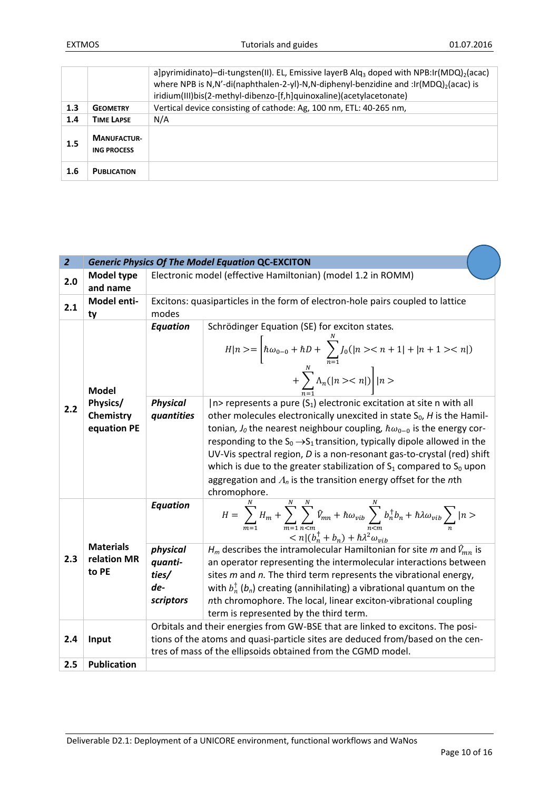|     |                                          | a]pyrimidinato)-di-tungsten(II). EL, Emissive layerB Alq <sub>3</sub> doped with NPB:Ir(MDQ) <sub>2</sub> (acac)<br>where NPB is N,N'-di(naphthalen-2-yl)-N,N-diphenyl-benzidine and :lr(MDQ) <sub>2</sub> (acac) is<br>iridium(III)bis(2-methyl-dibenzo-[f,h]quinoxaline)(acetylacetonate) |
|-----|------------------------------------------|---------------------------------------------------------------------------------------------------------------------------------------------------------------------------------------------------------------------------------------------------------------------------------------------|
| 1.3 | <b>GEOMETRY</b>                          | Vertical device consisting of cathode: Ag, 100 nm, ETL: 40-265 nm,                                                                                                                                                                                                                          |
| 1.4 | <b>TIME LAPSE</b>                        | N/A                                                                                                                                                                                                                                                                                         |
| 1.5 | <b>MANUFACTUR-</b><br><b>ING PROCESS</b> |                                                                                                                                                                                                                                                                                             |
| 1.6 | <b>PUBLICATION</b>                       |                                                                                                                                                                                                                                                                                             |

| $\overline{2}$ |                                          |                                                  | <b>Generic Physics Of The Model Equation QC-EXCITON</b>                                                                                                                                                                                                                                                                                                                                                                                                                                                    |  |
|----------------|------------------------------------------|--------------------------------------------------|------------------------------------------------------------------------------------------------------------------------------------------------------------------------------------------------------------------------------------------------------------------------------------------------------------------------------------------------------------------------------------------------------------------------------------------------------------------------------------------------------------|--|
| 2.0            | <b>Model type</b>                        |                                                  | Electronic model (effective Hamiltonian) (model 1.2 in ROMM)                                                                                                                                                                                                                                                                                                                                                                                                                                               |  |
|                | and name                                 |                                                  |                                                                                                                                                                                                                                                                                                                                                                                                                                                                                                            |  |
| 2.1            | Model enti-                              |                                                  | Excitons: quasiparticles in the form of electron-hole pairs coupled to lattice                                                                                                                                                                                                                                                                                                                                                                                                                             |  |
|                | ty                                       | modes                                            |                                                                                                                                                                                                                                                                                                                                                                                                                                                                                                            |  |
| 2.2            | <b>Model</b><br>Physics/                 | <b>Equation</b><br><b>Physical</b>               | Schrödinger Equation (SE) for exciton states.<br>$H n\rangle = \left[\hbar\omega_{0-0} + \hbar D + \sum_{n=1}^{N} J_0( n\rangle < n+1  +  n+1\rangle < n )\right]$<br>+ $\sum_{n=1}^{N} \Lambda_n( n\rangle\langle n )   n\rangle$<br>$ n\rangle$ represents a pure $(S_1)$ electronic excitation at site n with all                                                                                                                                                                                       |  |
|                | Chemistry<br>equation PE                 | quantities                                       | other molecules electronically unexcited in state $S_0$ , H is the Hamil-<br>tonian, $J_0$ the nearest neighbour coupling, $\hbar\omega_{0-0}$ is the energy cor-<br>responding to the $S_0 \rightarrow S_1$ transition, typically dipole allowed in the<br>UV-Vis spectral region, D is a non-resonant gas-to-crystal (red) shift<br>which is due to the greater stabilization of $S_1$ compared to $S_0$ upon<br>aggregation and $\Lambda_n$ is the transition energy offset for the nth<br>chromophore. |  |
|                |                                          | <b>Equation</b>                                  | $H = \sum_{m=1}^{N} H_m + \sum_{m=1}^{N} \sum_{n=m}^{N} \hat{V}_{mn} + \hbar \omega_{vib} \sum_{n=m}^{N} b_n^{\dagger} b_n + \hbar \lambda \omega_{vib} \sum_{n}  n>$<br>$\langle n (b_n^{\dagger}+b_n)+\hbar\lambda^2\omega_{vib}$                                                                                                                                                                                                                                                                        |  |
| 2.3            | <b>Materials</b><br>relation MR<br>to PE | physical<br>quanti-<br>ties/<br>de-<br>scriptors | $H_m$ describes the intramolecular Hamiltonian for site m and $\hat{V}_{mn}$ is<br>an operator representing the intermolecular interactions between<br>sites m and n. The third term represents the vibrational energy,<br>with $b_n^{\dagger}$ ( $b_n$ ) creating (annihilating) a vibrational quantum on the<br>nth chromophore. The local, linear exciton-vibrational coupling<br>term is represented by the third term.                                                                                |  |
| 2.4            | Input                                    |                                                  | Orbitals and their energies from GW-BSE that are linked to excitons. The posi-<br>tions of the atoms and quasi-particle sites are deduced from/based on the cen-<br>tres of mass of the ellipsoids obtained from the CGMD model.                                                                                                                                                                                                                                                                           |  |
| 2.5            | <b>Publication</b>                       |                                                  |                                                                                                                                                                                                                                                                                                                                                                                                                                                                                                            |  |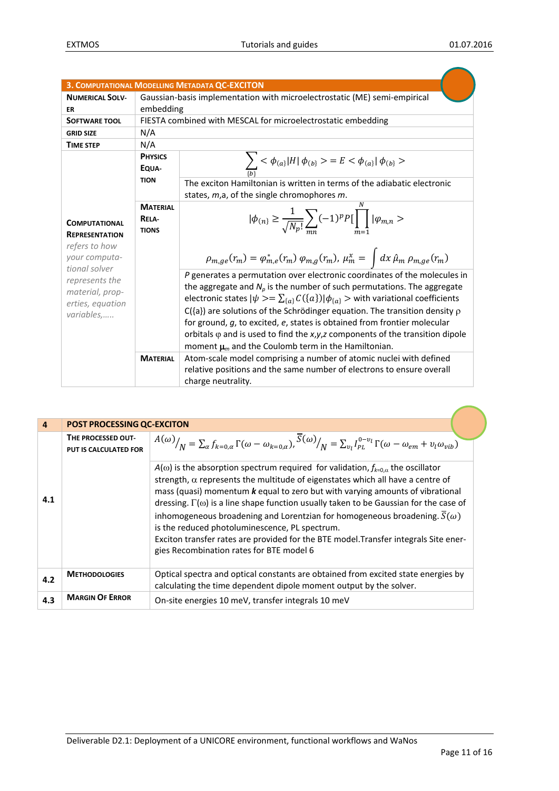|                                                                                      |                                          | 3. COMPUTATIONAL MODELLING METADATA QC-EXCITON                                                                                                                                                                                                                                                                                                                                                                                                                                                                                                                                              |  |
|--------------------------------------------------------------------------------------|------------------------------------------|---------------------------------------------------------------------------------------------------------------------------------------------------------------------------------------------------------------------------------------------------------------------------------------------------------------------------------------------------------------------------------------------------------------------------------------------------------------------------------------------------------------------------------------------------------------------------------------------|--|
| <b>NUMERICAL SOLV-</b>                                                               |                                          | Gaussian-basis implementation with microelectrostatic (ME) semi-empirical                                                                                                                                                                                                                                                                                                                                                                                                                                                                                                                   |  |
| <b>ER</b>                                                                            | embedding                                |                                                                                                                                                                                                                                                                                                                                                                                                                                                                                                                                                                                             |  |
| <b>SOFTWARE TOOL</b>                                                                 |                                          | FIESTA combined with MESCAL for microelectrostatic embedding                                                                                                                                                                                                                                                                                                                                                                                                                                                                                                                                |  |
| <b>GRID SIZE</b>                                                                     | N/A                                      |                                                                                                                                                                                                                                                                                                                                                                                                                                                                                                                                                                                             |  |
| <b>TIME STEP</b>                                                                     | N/A                                      |                                                                                                                                                                                                                                                                                                                                                                                                                                                                                                                                                                                             |  |
|                                                                                      | <b>PHYSICS</b><br>EQUA-                  | $\sum_{\{b\}} < \phi_{(a)} H  \phi_{(b)} > E < \phi_{(a)}  \phi_{(b)} >$                                                                                                                                                                                                                                                                                                                                                                                                                                                                                                                    |  |
|                                                                                      | <b>TION</b>                              | The exciton Hamiltonian is written in terms of the adiabatic electronic<br>states, m,a, of the single chromophores m.                                                                                                                                                                                                                                                                                                                                                                                                                                                                       |  |
| <b>COMPUTATIONAL</b><br><b>REPRESENTATION</b><br>refers to how                       | <b>MATERIAL</b><br>RELA-<br><b>TIONS</b> | $ \phi_{(n)} \geq \frac{1}{\sqrt{N_n!}} \sum_{n=1}^{\infty} (-1)^p P[\prod_{m=1}^{\infty}  \varphi_{m,n} >$                                                                                                                                                                                                                                                                                                                                                                                                                                                                                 |  |
| your computa-                                                                        |                                          | $\rho_{m,ge}(\tau_m) = \varphi_{m,e}^*(\tau_m) \varphi_{m,g}(\tau_m)$ , $\mu_m^x = \int dx \,\hat{\mu}_m \,\rho_{m,ge}(\tau_m)$                                                                                                                                                                                                                                                                                                                                                                                                                                                             |  |
| tional solver<br>represents the<br>material, prop-<br>erties, equation<br>variables, |                                          | P generates a permutation over electronic coordinates of the molecules in<br>the aggregate and $N_p$ is the number of such permutations. The aggregate<br>electronic states $ \psi\rangle = \sum_{\{a\}} C(\{a\})  \phi_{\{a\}}\rangle$ with variational coefficients<br>$C({a})$ are solutions of the Schrödinger equation. The transition density $\rho$<br>for ground, g, to excited, e, states is obtained from frontier molecular<br>orbitals $\varphi$ and is used to find the x, y, z components of the transition dipole<br>moment $\mu_m$ and the Coulomb term in the Hamiltonian. |  |
|                                                                                      | <b>MATERIAL</b>                          | Atom-scale model comprising a number of atomic nuclei with defined<br>relative positions and the same number of electrons to ensure overall<br>charge neutrality.                                                                                                                                                                                                                                                                                                                                                                                                                           |  |

| $\overline{a}$ | <b>POST PROCESSING QC-EXCITON</b>                  |                                                                                                                                                                                                                                                                                                                                                                                                                                                                                                                                                                                                                                                                   |
|----------------|----------------------------------------------------|-------------------------------------------------------------------------------------------------------------------------------------------------------------------------------------------------------------------------------------------------------------------------------------------------------------------------------------------------------------------------------------------------------------------------------------------------------------------------------------------------------------------------------------------------------------------------------------------------------------------------------------------------------------------|
|                | THE PROCESSED OUT-<br><b>PUT IS CALCULATED FOR</b> | $A(\omega)_{N} = \sum_{\alpha} f_{k=0,\alpha} \Gamma(\omega - \omega_{k=0,\alpha}), \overline{S}(\omega)_{N} = \sum_{v} I_{p}^{0-v} \Gamma(\omega - \omega_{em} + v_{l} \omega_{vib})$                                                                                                                                                                                                                                                                                                                                                                                                                                                                            |
| 4.1            |                                                    | $A(\omega)$ is the absorption spectrum required for validation, $f_{k=0,\alpha}$ the oscillator<br>strength, $\alpha$ represents the multitude of eigenstates which all have a centre of<br>mass (quasi) momentum k equal to zero but with varying amounts of vibrational<br>dressing. $\Gamma(\omega)$ is a line shape function usually taken to be Gaussian for the case of<br>inhomogeneous broadening and Lorentzian for homogeneous broadening. $\overline{S}(\omega)$<br>is the reduced photoluminescence, PL spectrum.<br>Exciton transfer rates are provided for the BTE model. Transfer integrals Site ener-<br>gies Recombination rates for BTE model 6 |
| 4.2            | <b>METHODOLOGIES</b>                               | Optical spectra and optical constants are obtained from excited state energies by<br>calculating the time dependent dipole moment output by the solver.                                                                                                                                                                                                                                                                                                                                                                                                                                                                                                           |
| 4.3            | <b>MARGIN OF ERROR</b>                             | On-site energies 10 meV, transfer integrals 10 meV                                                                                                                                                                                                                                                                                                                                                                                                                                                                                                                                                                                                                |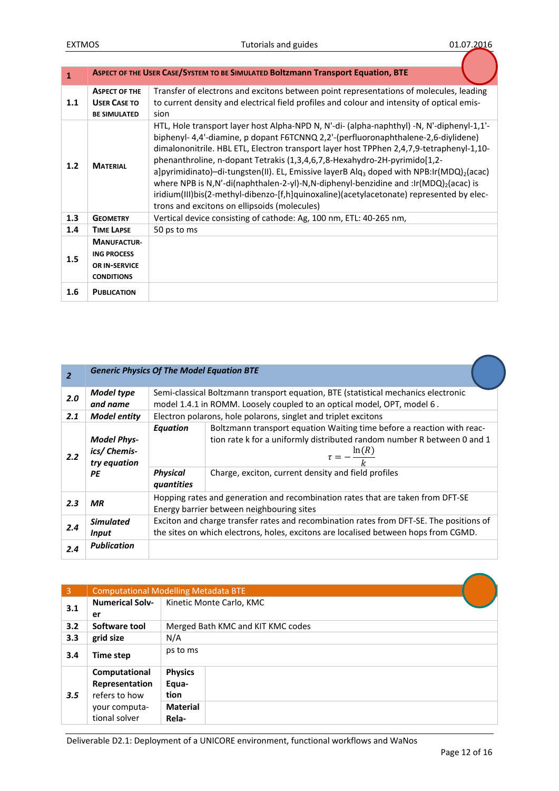| $\mathbf{1}$ |                                                                                | ASPECT OF THE USER CASE/SYSTEM TO BE SIMULATED BOltzmann Transport Equation, BTE                                                                                                                                                                                                                                                                                                                                                                                                                                                                                                                                                                                                                                             |
|--------------|--------------------------------------------------------------------------------|------------------------------------------------------------------------------------------------------------------------------------------------------------------------------------------------------------------------------------------------------------------------------------------------------------------------------------------------------------------------------------------------------------------------------------------------------------------------------------------------------------------------------------------------------------------------------------------------------------------------------------------------------------------------------------------------------------------------------|
| 1.1          | <b>ASPECT OF THE</b><br><b>USER CASE TO</b><br><b>BE SIMULATED</b>             | Transfer of electrons and excitons between point representations of molecules, leading<br>to current density and electrical field profiles and colour and intensity of optical emis-<br>sion                                                                                                                                                                                                                                                                                                                                                                                                                                                                                                                                 |
| 1.2          | <b>MATERIAL</b>                                                                | HTL, Hole transport layer host Alpha-NPD N, N'-di- (alpha-naphthyl) -N, N'-diphenyl-1,1'-<br>biphenyl- 4,4'-diamine, p dopant F6TCNNQ 2,2'-(perfluoronaphthalene-2,6-diylidene)<br>dimalononitrile. HBL ETL, Electron transport layer host TPPhen 2,4,7,9-tetraphenyl-1,10-<br>phenanthroline, n-dopant Tetrakis (1,3,4,6,7,8-Hexahydro-2H-pyrimido[1,2-<br>a]pyrimidinato)-di-tungsten(II). EL, Emissive layerB Alq <sub>3</sub> doped with NPB:lr(MDQ) <sub>2</sub> (acac)<br>where NPB is N,N'-di(naphthalen-2-yl)-N,N-diphenyl-benzidine and :lr(MDQ) <sub>2</sub> (acac) is<br>iridium(III)bis(2-methyl-dibenzo-[f,h]quinoxaline)(acetylacetonate) represented by elec-<br>trons and excitons on ellipsoids (molecules) |
| 1.3          | <b>GEOMETRY</b>                                                                | Vertical device consisting of cathode: Ag, 100 nm, ETL: 40-265 nm,                                                                                                                                                                                                                                                                                                                                                                                                                                                                                                                                                                                                                                                           |
| 1.4          | <b>TIME LAPSE</b>                                                              | 50 ps to ms                                                                                                                                                                                                                                                                                                                                                                                                                                                                                                                                                                                                                                                                                                                  |
| 1.5          | <b>MANUFACTUR-</b><br><b>ING PROCESS</b><br>OR IN-SERVICE<br><b>CONDITIONS</b> |                                                                                                                                                                                                                                                                                                                                                                                                                                                                                                                                                                                                                                                                                                                              |
| 1.6          | <b>PUBLICATION</b>                                                             |                                                                                                                                                                                                                                                                                                                                                                                                                                                                                                                                                                                                                                                                                                                              |

| $\overline{2}$ | <b>Generic Physics Of The Model Equation BTE</b>         |                                                  |                                                                                                                                                                                                                                        |  |
|----------------|----------------------------------------------------------|--------------------------------------------------|----------------------------------------------------------------------------------------------------------------------------------------------------------------------------------------------------------------------------------------|--|
| 2.0            | Model type<br>and name                                   |                                                  | Semi-classical Boltzmann transport equation, BTE (statistical mechanics electronic<br>model 1.4.1 in ROMM. Loosely coupled to an optical model, OPT, model 6.                                                                          |  |
| 2.1            | <b>Model entity</b>                                      |                                                  | Electron polarons, hole polarons, singlet and triplet excitons                                                                                                                                                                         |  |
| 2.2            | <b>Model Phys-</b><br>ics/ Chemis-<br>try equation<br>PE | <b>Equation</b><br><b>Physical</b><br>quantities | Boltzmann transport equation Waiting time before a reaction with reac-<br>tion rate k for a uniformly distributed random number R between 0 and 1<br>$\tau = -\frac{\ln(R)}{k}$<br>Charge, exciton, current density and field profiles |  |
| 2.3            | <b>MR</b>                                                |                                                  | Hopping rates and generation and recombination rates that are taken from DFT-SE<br>Energy barrier between neighbouring sites                                                                                                           |  |
| 2.4            | <b>Simulated</b><br>Input                                |                                                  | Exciton and charge transfer rates and recombination rates from DFT-SE. The positions of<br>the sites on which electrons, holes, excitons are localised between hops from CGMD.                                                         |  |
| 2.4            | <b>Publication</b>                                       |                                                  |                                                                                                                                                                                                                                        |  |

| $\overline{3}$ |                                                  | <b>Computational Modelling Metadata BTE</b>        |  |  |
|----------------|--------------------------------------------------|----------------------------------------------------|--|--|
| 3.1            | <b>Numerical Solv-</b>                           | Kinetic Monte Carlo, KMC                           |  |  |
|                | er                                               |                                                    |  |  |
| 3.2            | Software tool                                    | Merged Bath KMC and KIT KMC codes                  |  |  |
| 3.3            | grid size                                        | N/A                                                |  |  |
| 3.4            | Time step                                        | ps to ms                                           |  |  |
| 3.5            | Computational<br>Representation<br>refers to how | <b>Physics</b><br>Equa-<br>tion<br><b>Material</b> |  |  |
|                | your computa-<br>tional solver                   | Rela-                                              |  |  |

Deliverable D2.1: Deployment of a UNICORE environment, functional workflows and WaNos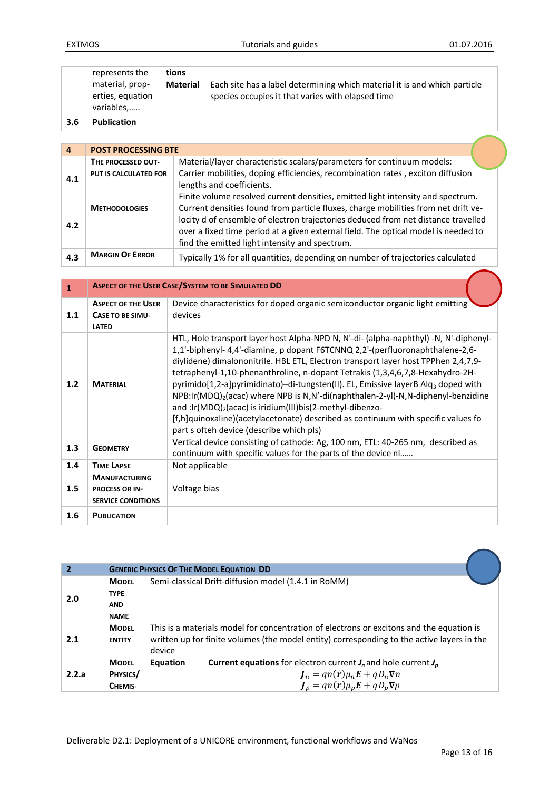|     | represents the                                    | tions           |                                                                                                                                |
|-----|---------------------------------------------------|-----------------|--------------------------------------------------------------------------------------------------------------------------------|
|     | material, prop-<br>erties, equation<br>variables, | <b>Material</b> | Each site has a label determining which material it is and which particle<br>species occupies it that varies with elapsed time |
| 3.6 | <b>Publication</b>                                |                 |                                                                                                                                |

| 4   | <b>POST PROCESSING BTE</b> |                                                                                    |  |  |  |  |
|-----|----------------------------|------------------------------------------------------------------------------------|--|--|--|--|
|     | THE PROCESSED OUT-         | Material/layer characteristic scalars/parameters for continuum models:             |  |  |  |  |
| 4.1 | PUT IS CALCULATED FOR      | Carrier mobilities, doping efficiencies, recombination rates, exciton diffusion    |  |  |  |  |
|     |                            | lengths and coefficients.                                                          |  |  |  |  |
|     |                            | Finite volume resolved current densities, emitted light intensity and spectrum.    |  |  |  |  |
|     | <b>METHODOLOGIES</b>       | Current densities found from particle fluxes, charge mobilities from net drift ve- |  |  |  |  |
| 4.2 |                            | locity d of ensemble of electron trajectories deduced from net distance travelled  |  |  |  |  |
|     |                            | over a fixed time period at a given external field. The optical model is needed to |  |  |  |  |
|     |                            | find the emitted light intensity and spectrum.                                     |  |  |  |  |
| 4.3 | <b>MARGIN OF ERROR</b>     | Typically 1% for all quantities, depending on number of trajectories calculated    |  |  |  |  |

| $\mathbf{1}$ |                                                                      | <b>ASPECT OF THE USER CASE/SYSTEM TO BE SIMULATED DD</b>                                                                                                                                                                                                                                                                                                                                                                                                                                                                                                                                                                                                                                                                                     |  |  |  |
|--------------|----------------------------------------------------------------------|----------------------------------------------------------------------------------------------------------------------------------------------------------------------------------------------------------------------------------------------------------------------------------------------------------------------------------------------------------------------------------------------------------------------------------------------------------------------------------------------------------------------------------------------------------------------------------------------------------------------------------------------------------------------------------------------------------------------------------------------|--|--|--|
| 1.1          | <b>ASPECT OF THE USER</b><br><b>CASE TO BE SIMU-</b><br><b>LATED</b> | Device characteristics for doped organic semiconductor organic light emitting<br>devices                                                                                                                                                                                                                                                                                                                                                                                                                                                                                                                                                                                                                                                     |  |  |  |
| 1.2          | <b>MATERIAL</b>                                                      | HTL, Hole transport layer host Alpha-NPD N, N'-di- (alpha-naphthyl) -N, N'-diphenyl-<br>1,1'-biphenyl- 4,4'-diamine, p dopant F6TCNNQ 2,2'-(perfluoronaphthalene-2,6-<br>diylidene) dimalononitrile. HBL ETL, Electron transport layer host TPPhen 2,4,7,9-<br>tetraphenyl-1,10-phenanthroline, n-dopant Tetrakis (1,3,4,6,7,8-Hexahydro-2H-<br>pyrimido[1,2-a]pyrimidinato]-di-tungsten(II). EL, Emissive layerB Alq <sub>3</sub> doped with<br>$NPS:Ir(MDQ)2(acac)$ where NPB is N,N'-di(naphthalen-2-yl)-N,N-diphenyl-benzidine<br>and :Ir(MDQ) <sub>2</sub> (acac) is iridium(III)bis(2-methyl-dibenzo-<br>[f,h]quinoxaline)(acetylacetonate) described as continuum with specific values fo<br>part s ofteh device (describe which pls) |  |  |  |
| 1.3          | <b>GEOMETRY</b>                                                      | Vertical device consisting of cathode: Ag, 100 nm, ETL: 40-265 nm, described as<br>continuum with specific values for the parts of the device nl                                                                                                                                                                                                                                                                                                                                                                                                                                                                                                                                                                                             |  |  |  |
| 1.4          | <b>TIME LAPSE</b>                                                    | Not applicable                                                                                                                                                                                                                                                                                                                                                                                                                                                                                                                                                                                                                                                                                                                               |  |  |  |
|              | <b>MANUFACTURING</b>                                                 |                                                                                                                                                                                                                                                                                                                                                                                                                                                                                                                                                                                                                                                                                                                                              |  |  |  |
| 1.5          | <b>PROCESS OR IN-</b><br><b>SERVICE CONDITIONS</b>                   | Voltage bias                                                                                                                                                                                                                                                                                                                                                                                                                                                                                                                                                                                                                                                                                                                                 |  |  |  |
| 1.6          | <b>PUBLICATION</b>                                                   |                                                                                                                                                                                                                                                                                                                                                                                                                                                                                                                                                                                                                                                                                                                                              |  |  |  |

| $\overline{2}$ |                                                          | <b>GENERIC PHYSICS OF THE MODEL EQUATION DD</b> |                                                                                                                                                                                        |  |  |
|----------------|----------------------------------------------------------|-------------------------------------------------|----------------------------------------------------------------------------------------------------------------------------------------------------------------------------------------|--|--|
| 2.0            | <b>MODEL</b><br><b>TYPE</b><br><b>AND</b><br><b>NAME</b> |                                                 | Semi-classical Drift-diffusion model (1.4.1 in RoMM)                                                                                                                                   |  |  |
| 2.1            | <b>MODEL</b><br><b>ENTITY</b>                            | device                                          | This is a materials model for concentration of electrons or excitons and the equation is<br>written up for finite volumes (the model entity) corresponding to the active layers in the |  |  |
| 2.2.a          | <b>MODEL</b><br>PHYSICS/<br>CHEMIS-                      | Equation                                        | <b>Current equations</b> for electron current $J_n$ and hole current $J_p$<br>$J_n = qn(r)\mu_n E + qD_n \nabla n$<br>$J_p = qn(r)\mu_p E + qD_p \nabla p$                             |  |  |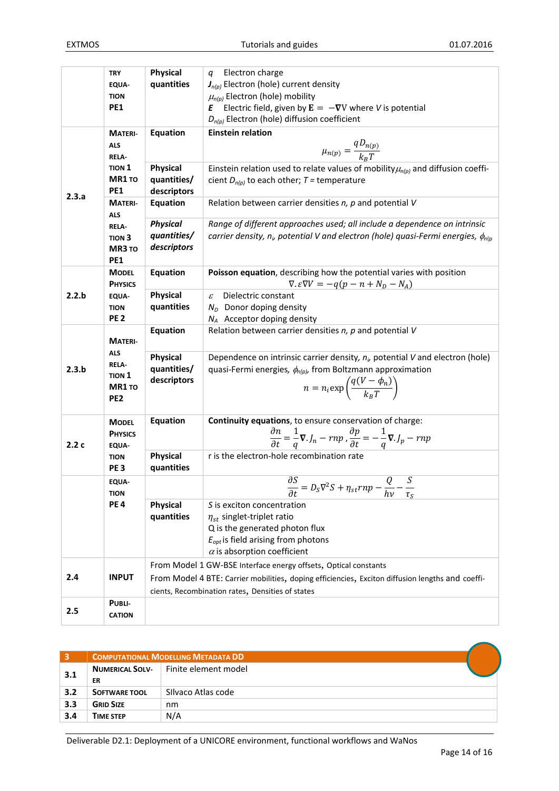|       | <b>TRY</b>                                                       | <b>Physical</b> | Electron charge<br>q                                                                                                                   |  |  |  |  |
|-------|------------------------------------------------------------------|-----------------|----------------------------------------------------------------------------------------------------------------------------------------|--|--|--|--|
|       | EQUA-                                                            | quantities      | $J_{n(p)}$ Electron (hole) current density                                                                                             |  |  |  |  |
|       | <b>TION</b>                                                      |                 | $\mu_{n(p)}$ Electron (hole) mobility                                                                                                  |  |  |  |  |
|       | <b>PE1</b>                                                       |                 | Electric field, given by $\mathbf{E} = -\nabla V$ where V is potential<br>Ε                                                            |  |  |  |  |
|       |                                                                  |                 | $D_{n(p)}$ Electron (hole) diffusion coefficient                                                                                       |  |  |  |  |
|       | <b>MATERI-</b>                                                   | <b>Equation</b> | <b>Einstein relation</b>                                                                                                               |  |  |  |  |
|       | <b>ALS</b>                                                       |                 |                                                                                                                                        |  |  |  |  |
|       | <b>RELA-</b>                                                     |                 | $\mu_{n(p)} = \frac{qD_{n(p)}}{k_{\rm n}T}$                                                                                            |  |  |  |  |
|       | <b>TION 1</b>                                                    | <b>Physical</b> | Einstein relation used to relate values of mobility $\mu_{n(p)}$ and diffusion coeffi-                                                 |  |  |  |  |
|       | MR1 TO                                                           | quantities/     | cient $D_{n(p)}$ to each other; T = temperature                                                                                        |  |  |  |  |
|       | <b>PE1</b>                                                       | descriptors     |                                                                                                                                        |  |  |  |  |
| 2.3.a | <b>MATERI-</b>                                                   | <b>Equation</b> | Relation between carrier densities $n$ , $p$ and potential $V$                                                                         |  |  |  |  |
|       | <b>ALS</b>                                                       |                 |                                                                                                                                        |  |  |  |  |
|       | <b>RELA</b>                                                      | <b>Physical</b> | Range of different approaches used; all include a dependence on intrinsic                                                              |  |  |  |  |
|       | TION <sub>3</sub>                                                | quantities/     | carrier density, $n_{i}$ , potential V and electron (hole) quasi-Fermi energies, $\phi_{n(i)}$                                         |  |  |  |  |
|       | MR3 TO                                                           | descriptors     |                                                                                                                                        |  |  |  |  |
|       | PE <sub>1</sub>                                                  |                 |                                                                                                                                        |  |  |  |  |
|       | <b>MODEL</b>                                                     | Equation        | Poisson equation, describing how the potential varies with position                                                                    |  |  |  |  |
|       | <b>PHYSICS</b>                                                   |                 | $\nabla \cdot \varepsilon \nabla V = -q(p - n + N_D - N_A)$                                                                            |  |  |  |  |
| 2.2.b | <b>EQUA-</b>                                                     | <b>Physical</b> | Dielectric constant<br>$\mathcal{E}$                                                                                                   |  |  |  |  |
|       | <b>TION</b>                                                      | quantities      | $N_D$ Donor doping density                                                                                                             |  |  |  |  |
|       | <b>PE2</b>                                                       |                 | $N_A$ Acceptor doping density                                                                                                          |  |  |  |  |
|       | <b>MATERI-</b><br><b>ALS</b><br><b>RELA-</b><br>TION 1<br>MR1 TO | Equation        | Relation between carrier densities $n$ , $p$ and potential $V$                                                                         |  |  |  |  |
|       |                                                                  |                 |                                                                                                                                        |  |  |  |  |
|       |                                                                  | <b>Physical</b> | Dependence on intrinsic carrier density, $n_{\nu}$ potential V and electron (hole)                                                     |  |  |  |  |
| 2.3.b |                                                                  | quantities/     | quasi-Fermi energies, $\phi_{n(p)}$ , from Boltzmann approximation                                                                     |  |  |  |  |
|       |                                                                  | descriptors     |                                                                                                                                        |  |  |  |  |
|       |                                                                  |                 | $n = n_i \exp\left(\frac{q(V - \phi_n)}{k_n T}\right)$                                                                                 |  |  |  |  |
|       | PE <sub>2</sub>                                                  |                 |                                                                                                                                        |  |  |  |  |
|       |                                                                  | Equation        | Continuity equations, to ensure conservation of charge:                                                                                |  |  |  |  |
|       | <b>MODEL</b>                                                     |                 |                                                                                                                                        |  |  |  |  |
| 2.2c  | <b>PHYSICS</b>                                                   |                 | $\frac{\partial n}{\partial t} = \frac{1}{a} \nabla J_n - r n p \cdot \frac{\partial p}{\partial t} = -\frac{1}{a} \nabla J_p - r n p$ |  |  |  |  |
|       | <b>EQUA-</b><br><b>TION</b>                                      | <b>Physical</b> | r is the electron-hole recombination rate                                                                                              |  |  |  |  |
|       | PE <sub>3</sub>                                                  | quantities      |                                                                                                                                        |  |  |  |  |
|       | <b>EQUA-</b>                                                     |                 |                                                                                                                                        |  |  |  |  |
|       | <b>TION</b>                                                      |                 | $\frac{\partial S}{\partial t} = D_S \nabla^2 S + \eta_{st} r n p - \frac{Q}{h v}$<br>$\partial t$<br>hν<br>$\tau_{S}$                 |  |  |  |  |
|       | PE <sub>4</sub>                                                  | <b>Physical</b> | S is exciton concentration                                                                                                             |  |  |  |  |
|       |                                                                  | quantities      | $\eta_{st}$ singlet-triplet ratio                                                                                                      |  |  |  |  |
|       |                                                                  |                 | Q is the generated photon flux                                                                                                         |  |  |  |  |
|       |                                                                  |                 | $E_{opt}$ is field arising from photons                                                                                                |  |  |  |  |
|       |                                                                  |                 | $\alpha$ is absorption coefficient                                                                                                     |  |  |  |  |
|       |                                                                  |                 | From Model 1 GW-BSE Interface energy offsets, Optical constants                                                                        |  |  |  |  |
| 2.4   | <b>INPUT</b>                                                     |                 | From Model 4 BTE: Carrier mobilities, doping efficiencies, Exciton diffusion lengths and coeffi-                                       |  |  |  |  |
|       |                                                                  |                 | cients, Recombination rates, Densities of states                                                                                       |  |  |  |  |
|       | PUBLI-                                                           |                 |                                                                                                                                        |  |  |  |  |
| 2.5   | <b>CATION</b>                                                    |                 |                                                                                                                                        |  |  |  |  |
|       |                                                                  |                 |                                                                                                                                        |  |  |  |  |

| 3   | <b>COMPUTATIONAL MODELLING METADATA DD</b> |                      |  |  |  |
|-----|--------------------------------------------|----------------------|--|--|--|
| 3.1 | <b>NUMERICAL SOLV-</b>                     | Finite element model |  |  |  |
|     | ER                                         |                      |  |  |  |
| 3.2 | <b>SOFTWARE TOOL</b>                       | Silvaco Atlas code   |  |  |  |
| 3.3 | <b>GRID SIZE</b>                           | nm                   |  |  |  |
| 3.4 | <b>TIME STEP</b>                           | N/A                  |  |  |  |
|     |                                            |                      |  |  |  |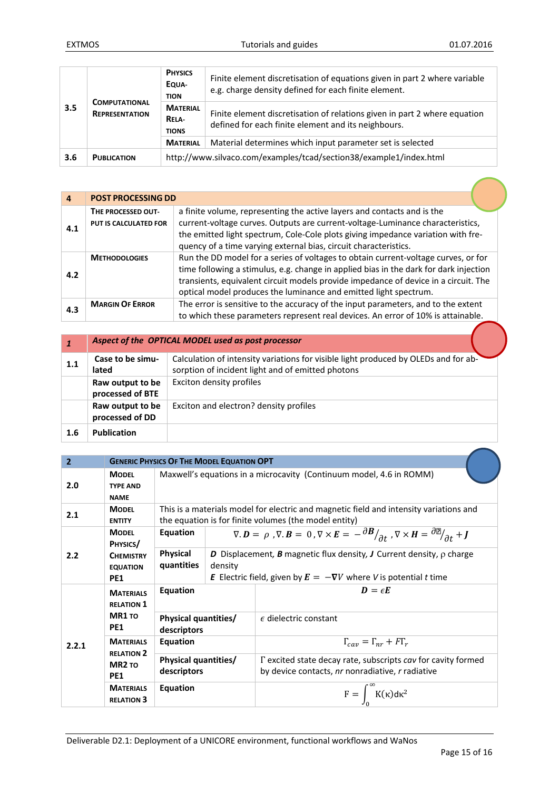|     | <b>COMPUTATIONAL</b><br><b>REPRESENTATION</b> | <b>PHYSICS</b><br>EQUA-<br><b>TION</b>         | Finite element discretisation of equations given in part 2 where variable<br>e.g. charge density defined for each finite element. |  |  |
|-----|-----------------------------------------------|------------------------------------------------|-----------------------------------------------------------------------------------------------------------------------------------|--|--|
| 3.5 |                                               | <b>MATERIAL</b><br><b>RELA</b><br><b>TIONS</b> | Finite element discretisation of relations given in part 2 where equation<br>defined for each finite element and its neighbours.  |  |  |
|     |                                               | <b>MATERIAL</b>                                | Material determines which input parameter set is selected                                                                         |  |  |
| 3.6 | <b>PUBLICATION</b>                            |                                                | http://www.silvaco.com/examples/tcad/section38/example1/index.html                                                                |  |  |

| $\overline{a}$ | <b>POST PROCESSING DD</b>                   |                                                                                                                                                                                                                                                                                                                                        |  |  |
|----------------|---------------------------------------------|----------------------------------------------------------------------------------------------------------------------------------------------------------------------------------------------------------------------------------------------------------------------------------------------------------------------------------------|--|--|
| 4.1            | THE PROCESSED OUT-<br>PUT IS CALCULATED FOR | a finite volume, representing the active layers and contacts and is the<br>current-voltage curves. Outputs are current-voltage-Luminance characteristics,<br>the emitted light spectrum, Cole-Cole plots giving impedance variation with fre-<br>quency of a time varying external bias, circuit characteristics.                      |  |  |
| 4.2            | <b>METHODOLOGIES</b>                        | Run the DD model for a series of voltages to obtain current-voltage curves, or for<br>time following a stimulus, e.g. change in applied bias in the dark for dark injection<br>transients, equivalent circuit models provide impedance of device in a circuit. The<br>optical model produces the luminance and emitted light spectrum. |  |  |
| 4.3            | <b>MARGIN OF ERROR</b>                      | The error is sensitive to the accuracy of the input parameters, and to the extent<br>to which these parameters represent real devices. An error of 10% is attainable.                                                                                                                                                                  |  |  |

|     | Aspect of the OPTICAL MODEL used as post processor |                                                                                                                                          |  |  |  |
|-----|----------------------------------------------------|------------------------------------------------------------------------------------------------------------------------------------------|--|--|--|
| 1.1 | Case to be simu-<br>lated                          | Calculation of intensity variations for visible light produced by OLEDs and for ab-<br>sorption of incident light and of emitted photons |  |  |  |
|     | Raw output to be<br>processed of BTE               | Exciton density profiles                                                                                                                 |  |  |  |
|     | Raw output to be<br>processed of DD                | Exciton and electron? density profiles                                                                                                   |  |  |  |
| 1.6 | <b>Publication</b>                                 |                                                                                                                                          |  |  |  |

| $\overline{2}$ |                                                                                | <b>GENERIC PHYSICS OF THE MODEL EQUATION OPT</b> |                                                                                                                                                 |                                                                                                                                                                                                    |  |
|----------------|--------------------------------------------------------------------------------|--------------------------------------------------|-------------------------------------------------------------------------------------------------------------------------------------------------|----------------------------------------------------------------------------------------------------------------------------------------------------------------------------------------------------|--|
| 2.0            | <b>MODFL</b><br><b>TYPE AND</b><br><b>NAME</b>                                 |                                                  | Maxwell's equations in a microcavity (Continuum model, 4.6 in ROMM)                                                                             |                                                                                                                                                                                                    |  |
| 2.1            | <b>MODEL</b><br><b>ENTITY</b>                                                  |                                                  | This is a materials model for electric and magnetic field and intensity variations and<br>the equation is for finite volumes (the model entity) |                                                                                                                                                                                                    |  |
|                | Equation<br><b>MODEL</b><br>PHYSICS/                                           |                                                  |                                                                                                                                                 | $\nabla \cdot \bm{D} = \rho$ , $\nabla \cdot \bm{B} = 0$ , $\nabla \times \bm{E} = -\frac{\partial \bm{B}}{\partial t}$ , $\nabla \times \bm{H} = \frac{\partial \mathbb{E}}{\partial t} + \bm{J}$ |  |
| 2.2            | <b>CHEMISTRY</b><br><b>EQUATION</b><br>PE <sub>1</sub>                         | <b>Physical</b><br>quantities                    | density                                                                                                                                         | <b>D</b> Displacement, <b>B</b> magnetic flux density, <b>J</b> Current density, $\rho$ charge<br><b>E</b> Electric field, given by $E = -\nabla V$ where V is potential t time                    |  |
|                | <b>MATERIALS</b><br><b>RELATION 1</b><br>MR1 TO<br><b>PE1</b>                  | Equation                                         |                                                                                                                                                 | $D = \epsilon E$                                                                                                                                                                                   |  |
|                |                                                                                | <b>Physical quantities/</b><br>descriptors       |                                                                                                                                                 | $\epsilon$ dielectric constant                                                                                                                                                                     |  |
| 2.2.1          | <b>MATERIALS</b><br><b>RELATION 2</b><br>MR <sub>2</sub> TO<br>PE <sub>1</sub> | Equation                                         |                                                                                                                                                 | $\Gamma_{cav} = \Gamma_{nr} + F\Gamma_r$                                                                                                                                                           |  |
|                |                                                                                | <b>Physical quantities/</b><br>descriptors       |                                                                                                                                                 | $\Gamma$ excited state decay rate, subscripts cay for cavity formed<br>by device contacts, nr nonradiative, r radiative                                                                            |  |
|                | <b>MATERIALS</b><br><b>RELATION 3</b>                                          | Equation                                         |                                                                                                                                                 | $F = \int_{0}^{\infty} K(\kappa) d\kappa^{2}$                                                                                                                                                      |  |